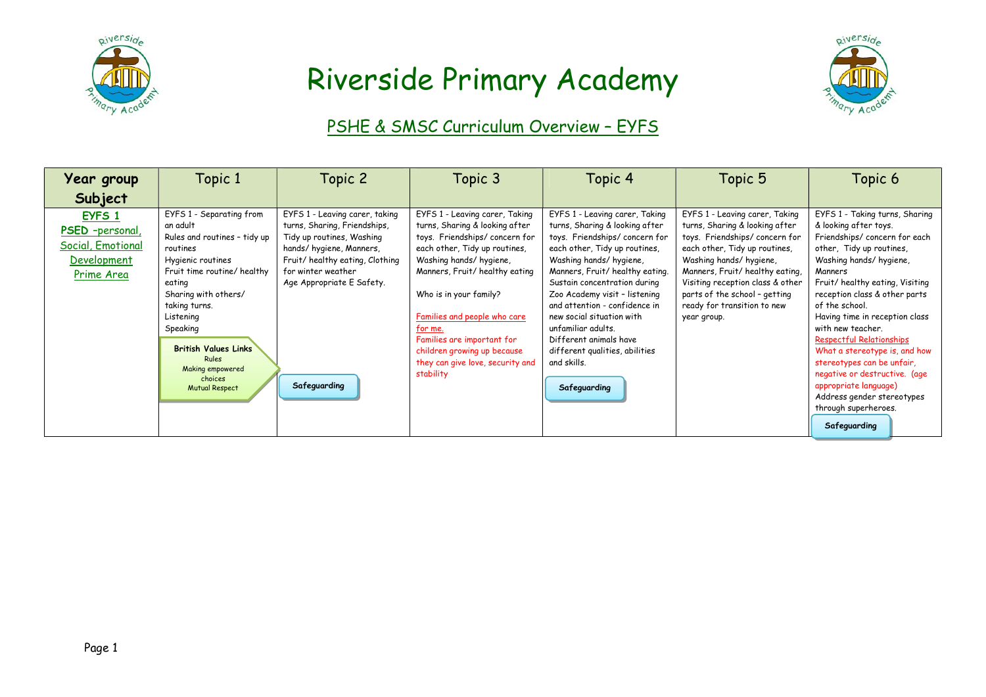



### PSHE & SMSC Curriculum Overview – EYFS

| <b>Year group</b>                                                           | Topic 1                                                                                                                                                                                                                                                                                                          | Topic 2                                                                                                                                                                                                                     | Topic 3                                                                                                                                                                                                                                                                                                                                                                          | Topic 4                                                                                                                                                                                                                                                                                                                                                                                                                                        | Topic 5                                                                                                                                                                                                                                                                                                           | Topic 6                                                                                                                                                                                                                                                                                                                                                                                                                                                                                                                                 |
|-----------------------------------------------------------------------------|------------------------------------------------------------------------------------------------------------------------------------------------------------------------------------------------------------------------------------------------------------------------------------------------------------------|-----------------------------------------------------------------------------------------------------------------------------------------------------------------------------------------------------------------------------|----------------------------------------------------------------------------------------------------------------------------------------------------------------------------------------------------------------------------------------------------------------------------------------------------------------------------------------------------------------------------------|------------------------------------------------------------------------------------------------------------------------------------------------------------------------------------------------------------------------------------------------------------------------------------------------------------------------------------------------------------------------------------------------------------------------------------------------|-------------------------------------------------------------------------------------------------------------------------------------------------------------------------------------------------------------------------------------------------------------------------------------------------------------------|-----------------------------------------------------------------------------------------------------------------------------------------------------------------------------------------------------------------------------------------------------------------------------------------------------------------------------------------------------------------------------------------------------------------------------------------------------------------------------------------------------------------------------------------|
| Subject                                                                     |                                                                                                                                                                                                                                                                                                                  |                                                                                                                                                                                                                             |                                                                                                                                                                                                                                                                                                                                                                                  |                                                                                                                                                                                                                                                                                                                                                                                                                                                |                                                                                                                                                                                                                                                                                                                   |                                                                                                                                                                                                                                                                                                                                                                                                                                                                                                                                         |
| EYFS 1<br>PSED -personal,<br>Social, Emotional<br>Development<br>Prime Area | EYFS 1 - Separating from<br>an adult<br>Rules and routines - tidy up<br>routines<br>Hygienic routines<br>Fruit time routine/ healthy<br>eating<br>Sharing with others/<br>taking turns.<br>Listening<br>Speaking<br><b>British Values Links</b><br>Rules<br>Making empowered<br>choices<br><b>Mutual Respect</b> | EYFS 1 - Leaving carer, taking<br>turns, Sharing, Friendships,<br>Tidy up routines, Washing<br>hands/hygiene, Manners,<br>Fruit/healthy eating, Clothing<br>for winter weather<br>Age Appropriate E Safety.<br>Safeguarding | EYFS 1 - Leaving carer, Taking<br>turns, Sharing & looking after<br>toys. Friendships/concern for<br>each other, Tidy up routines,<br>Washing hands/hygiene,<br>Manners, Fruit/healthy eating<br>Who is in your family?<br>Families and people who care<br>for me.<br>Families are important for<br>children growing up because<br>they can give love, security and<br>stability | EYFS 1 - Leaving carer, Taking<br>turns, Sharing & looking after<br>toys. Friendships/concern for<br>each other, Tidy up routines,<br>Washing hands/hygiene,<br>Manners, Fruit/healthy eating.<br>Sustain concentration during<br>Zoo Academy visit - listening<br>and attention - confidence in<br>new social situation with<br>unfamiliar adults.<br>Different animals have<br>different qualities, abilities<br>and skills.<br>Safeguarding | EYFS 1 - Leaving carer, Taking<br>turns, Sharing & looking after<br>toys. Friendships/concern for<br>each other, Tidy up routines,<br>Washing hands/hygiene,<br>Manners, Fruit/healthy eating,<br>Visiting reception class & other<br>parts of the school - getting<br>ready for transition to new<br>year group. | EYFS 1 - Taking turns, Sharing<br>& looking after toys.<br>Friendships/concern for each<br>other, Tidy up routines,<br>Washing hands/ hygiene,<br>Manners<br>Fruit/healthy eating, Visiting<br>reception class & other parts<br>of the school.<br>Having time in reception class<br>with new teacher.<br><b>Respectful Relationships</b><br>What a stereotype is, and how<br>stereotypes can be unfair,<br>negative or destructive. (age<br>appropriate language)<br>Address gender stereotypes<br>through superheroes.<br>Safeguarding |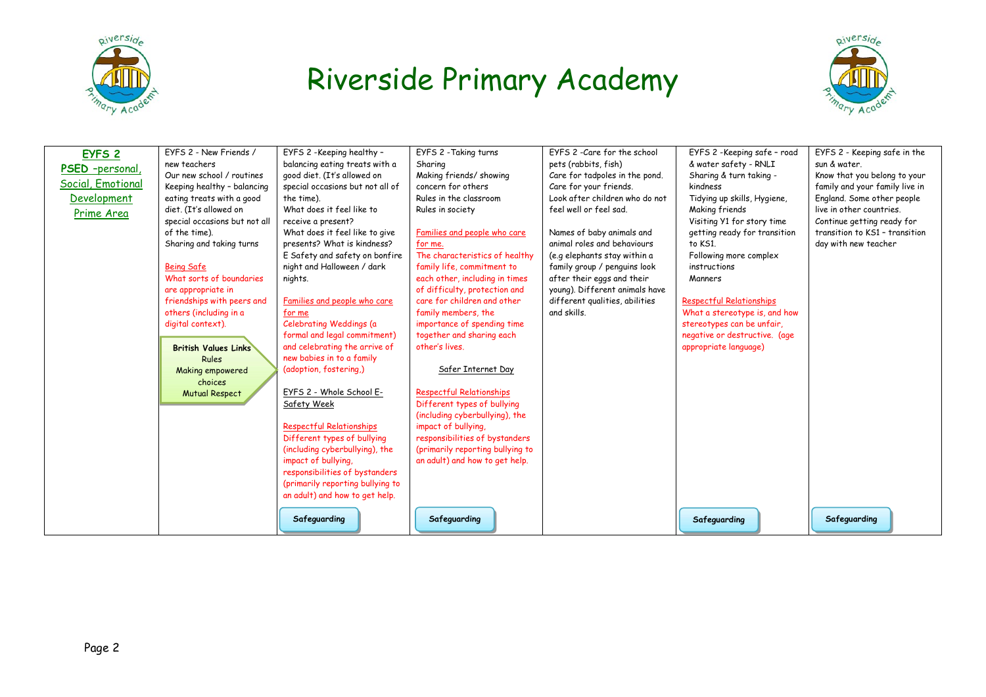



| EYFS <sub>2</sub><br>PSED -personal<br>Social, Emotional<br>Development<br>Prime Area | EYFS 2 - New Friends /<br>new teachers<br>Our new school / routines<br>Keeping healthy - balancing<br>eating treats with a good<br>diet. (It's allowed on<br>special occasions but not all<br>of the time).<br>Sharing and taking turns<br><b>Being Safe</b><br>What sorts of boundaries<br>are appropriate in<br>friendships with peers and<br>others (including in a<br>digital context).<br><b>British Values Links</b><br><b>Rules</b><br>Making empowered<br>choices<br><b>Mutual Respect</b> | EYFS 2 -Keeping healthy -<br>balancing eating treats with a<br>good diet. (It's allowed on<br>special occasions but not all of<br>the time).<br>What does it feel like to<br>receive a present?<br>What does it feel like to give<br>presents? What is kindness?<br>E Safety and safety on bonfire<br>night and Halloween / dark<br>nights.<br>Families and people who care<br>for me<br>Celebrating Weddings (a<br>formal and legal commitment)<br>and celebrating the arrive of<br>new babies in to a family<br>(adoption, fostering.)<br>EYFS 2 - Whole School E-<br>Safety Week<br><b>Respectful Relationships</b><br>Different types of bullying<br>(including cyberbullying), the<br>impact of bullying,<br>responsibilities of bystanders<br>(primarily reporting bullying to<br>an adult) and how to get help. | EYFS 2 - Taking turns<br>Sharina<br>Making friends/ showing<br>concern for others<br>Rules in the classroom<br>Rules in society<br>Families and people who care<br>for me.<br>The characteristics of healthy<br>family life, commitment to<br>each other, including in times<br>of difficulty, protection and<br>care for children and other<br>family members, the<br>importance of spending time<br>together and sharing each<br>other's lives.<br>Safer Internet Day<br><b>Respectful Relationships</b><br>Different types of bullying<br>(including cyberbullying), the<br>impact of bullying,<br>responsibilities of bystanders<br>(primarily reporting bullying to<br>an adult) and how to get help. | EYFS 2 - Care for the school<br>pets (rabbits, fish)<br>Care for tadpoles in the pond.<br>Care for your friends.<br>Look after children who do not<br>feel well or feel sad.<br>Names of baby animals and<br>animal roles and behaviours<br>(e.g elephants stay within a<br>family group / penguins look<br>after their eggs and their<br>young). Different animals have<br>different qualities, abilities<br>and skills. | EYFS 2 - Keeping safe - road<br>& water safety - RNLI<br>Sharing & turn taking -<br>kindness<br>Tidying up skills, Hygiene,<br>Making friends<br>Visiting Y1 for story time<br>getting ready for transition<br>to KS1.<br>Following more complex<br>instructions<br>Manners<br><b>Respectful Relationships</b><br>What a stereotype is, and how<br>stereotypes can be unfair,<br>negative or destructive. (age<br>appropriate language) | EYFS 2 - Keeping safe in the<br>sun & water.<br>Know that you belong to your<br>family and your family live in<br>England. Some other people<br>live in other countries.<br>Continue getting ready for<br>transition to KS1 - transition<br>day with new teacher |
|---------------------------------------------------------------------------------------|----------------------------------------------------------------------------------------------------------------------------------------------------------------------------------------------------------------------------------------------------------------------------------------------------------------------------------------------------------------------------------------------------------------------------------------------------------------------------------------------------|------------------------------------------------------------------------------------------------------------------------------------------------------------------------------------------------------------------------------------------------------------------------------------------------------------------------------------------------------------------------------------------------------------------------------------------------------------------------------------------------------------------------------------------------------------------------------------------------------------------------------------------------------------------------------------------------------------------------------------------------------------------------------------------------------------------------|------------------------------------------------------------------------------------------------------------------------------------------------------------------------------------------------------------------------------------------------------------------------------------------------------------------------------------------------------------------------------------------------------------------------------------------------------------------------------------------------------------------------------------------------------------------------------------------------------------------------------------------------------------------------------------------------------------|---------------------------------------------------------------------------------------------------------------------------------------------------------------------------------------------------------------------------------------------------------------------------------------------------------------------------------------------------------------------------------------------------------------------------|-----------------------------------------------------------------------------------------------------------------------------------------------------------------------------------------------------------------------------------------------------------------------------------------------------------------------------------------------------------------------------------------------------------------------------------------|------------------------------------------------------------------------------------------------------------------------------------------------------------------------------------------------------------------------------------------------------------------|
|                                                                                       |                                                                                                                                                                                                                                                                                                                                                                                                                                                                                                    | Safeguarding                                                                                                                                                                                                                                                                                                                                                                                                                                                                                                                                                                                                                                                                                                                                                                                                           | Safeguarding                                                                                                                                                                                                                                                                                                                                                                                                                                                                                                                                                                                                                                                                                               |                                                                                                                                                                                                                                                                                                                                                                                                                           | Safeguarding                                                                                                                                                                                                                                                                                                                                                                                                                            | Safeguarding                                                                                                                                                                                                                                                     |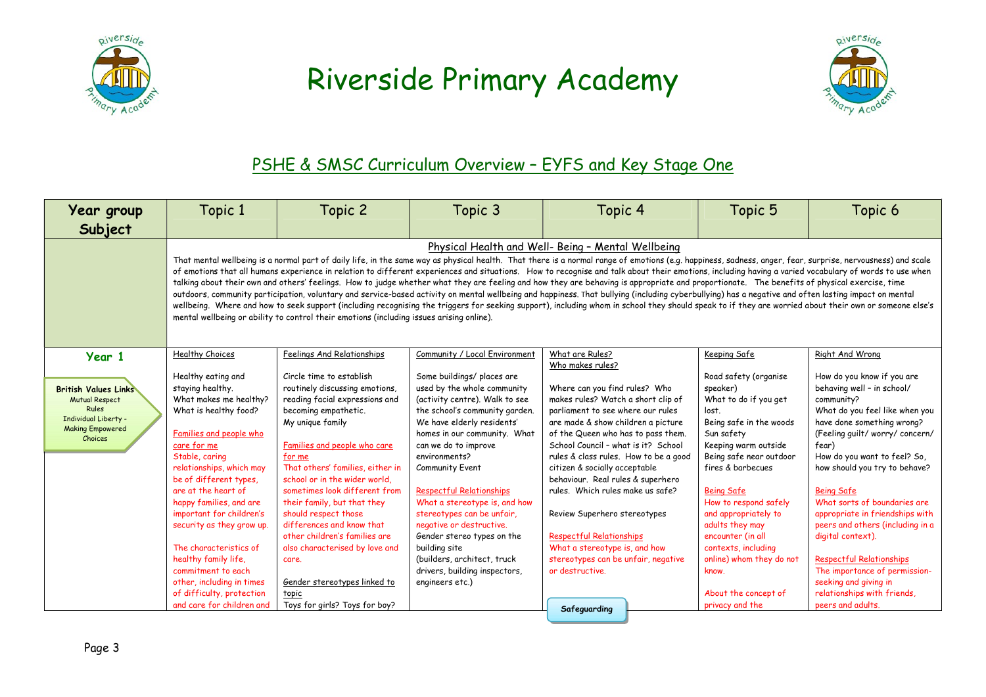



#### PSHE & SMSC Curriculum Overview - EYFS and Key Stage One

| Year group<br>Subject                                                                                                                        | Topic 1                                                                                                                                                                                                                                                                                                                                                                                                                                                                                                                                                                                                                                                                                                                                                                                                                                                                                                                                                                                                                                                                                                                                                                                 | Topic 2                                                                                                                                                                                                                                                                                                                                                                                                                                                                                                                                                          | Topic 3                                                                                                                                                                                                                                                                                                                                                                                                                                                                                                                                                         | Topic 4                                                                                                                                                                                                                                                                                                                                                                                                                                                                                                                                                                             | Topic 5                                                                                                                                                                                                                                                                                                                                                                                                                   | Topic 6                                                                                                                                                                                                                                                                                                                                                                                                                                                                                                                                                                |  |
|----------------------------------------------------------------------------------------------------------------------------------------------|-----------------------------------------------------------------------------------------------------------------------------------------------------------------------------------------------------------------------------------------------------------------------------------------------------------------------------------------------------------------------------------------------------------------------------------------------------------------------------------------------------------------------------------------------------------------------------------------------------------------------------------------------------------------------------------------------------------------------------------------------------------------------------------------------------------------------------------------------------------------------------------------------------------------------------------------------------------------------------------------------------------------------------------------------------------------------------------------------------------------------------------------------------------------------------------------|------------------------------------------------------------------------------------------------------------------------------------------------------------------------------------------------------------------------------------------------------------------------------------------------------------------------------------------------------------------------------------------------------------------------------------------------------------------------------------------------------------------------------------------------------------------|-----------------------------------------------------------------------------------------------------------------------------------------------------------------------------------------------------------------------------------------------------------------------------------------------------------------------------------------------------------------------------------------------------------------------------------------------------------------------------------------------------------------------------------------------------------------|-------------------------------------------------------------------------------------------------------------------------------------------------------------------------------------------------------------------------------------------------------------------------------------------------------------------------------------------------------------------------------------------------------------------------------------------------------------------------------------------------------------------------------------------------------------------------------------|---------------------------------------------------------------------------------------------------------------------------------------------------------------------------------------------------------------------------------------------------------------------------------------------------------------------------------------------------------------------------------------------------------------------------|------------------------------------------------------------------------------------------------------------------------------------------------------------------------------------------------------------------------------------------------------------------------------------------------------------------------------------------------------------------------------------------------------------------------------------------------------------------------------------------------------------------------------------------------------------------------|--|
|                                                                                                                                              | Physical Health and Well- Being - Mental Wellbeing<br>That mental wellbeing is a normal part of daily life, in the same way as physical health. That there is a normal range of emotions (e.g. happiness, sadness, anger, fear, surprise, nervousness) and scale<br>of emotions that all humans experience in relation to different experiences and situations. How to recognise and talk about their emotions, including having a varied vocabulary of words to use when<br>talking about their own and others' feelings. How to judge whether what they are feeling and how they are behaving is appropriate and proportionate. The benefits of physical exercise, time<br>outdoors, community participation, voluntary and service-based activity on mental wellbeing and happiness. That bullying (including cyberbullying) has a negative and often lasting impact on mental<br>wellbeing. Where and how to seek support (including recognising the triggers for seeking support), including whom in school they should speak to if they are worried about their own or someone else's<br>mental wellbeing or ability to control their emotions (including issues arising online). |                                                                                                                                                                                                                                                                                                                                                                                                                                                                                                                                                                  |                                                                                                                                                                                                                                                                                                                                                                                                                                                                                                                                                                 |                                                                                                                                                                                                                                                                                                                                                                                                                                                                                                                                                                                     |                                                                                                                                                                                                                                                                                                                                                                                                                           |                                                                                                                                                                                                                                                                                                                                                                                                                                                                                                                                                                        |  |
| Year 1<br><b>British Values Links</b><br><b>Mutual Respect</b><br><b>Rules</b><br>Individual Liberty -<br><b>Making Empowered</b><br>Choices | <b>Healthy Choices</b><br>Healthy eating and<br>staying healthy.<br>What makes me healthy?<br>What is healthy food?<br>Families and people who<br>care for me<br>Stable, caring<br>relationships, which may<br>be of different types.<br>are at the heart of<br>happy families, and are<br>important for children's<br>security as they grow up.<br>The characteristics of<br>healthy family life,<br>commitment to each<br>other, including in times<br>of difficulty, protection<br>and care for children and                                                                                                                                                                                                                                                                                                                                                                                                                                                                                                                                                                                                                                                                         | Feelings And Relationships<br>Circle time to establish<br>routinely discussing emotions.<br>reading facial expressions and<br>becoming empathetic.<br>My unique family<br>Families and people who care<br>for me<br>That others' families, either in<br>school or in the wider world.<br>sometimes look different from<br>their family, but that they<br>should respect those<br>differences and know that<br>other children's families are<br>also characterised by love and<br>care.<br>Gender stereotypes linked to<br>topic<br>Toys for girls? Toys for boy? | Community / Local Environment<br>Some buildings/ places are<br>used by the whole community<br>(activity centre). Walk to see<br>the school's community garden.<br>We have elderly residents'<br>homes in our community. What<br>can we do to improve<br>environments?<br><b>Community Event</b><br><b>Respectful Relationships</b><br>What a stereotype is, and how<br>stereotypes can be unfair,<br>negative or destructive.<br>Gender stereo types on the<br>building site<br>(builders, architect, truck<br>drivers, building inspectors,<br>engineers etc.) | What are Rules?<br>Who makes rules?<br>Where can you find rules? Who<br>makes rules? Watch a short clip of<br>parliament to see where our rules<br>are made & show children a picture<br>of the Queen who has to pass them.<br>School Council - what is it? School<br>rules & class rules. How to be a good<br>citizen & socially acceptable<br>behaviour. Real rules & superhero<br>rules. Which rules make us safe?<br>Review Superhero stereotypes<br><b>Respectful Relationships</b><br>What a stereotype is, and how<br>stereotypes can be unfair, negative<br>or destructive. | Keeping Safe<br>Road safety (organise<br>speaker)<br>What to do if you get<br>lost.<br>Being safe in the woods<br>Sun safety<br>Keeping warm outside<br>Being safe near outdoor<br>fires & barbecues<br><b>Being Safe</b><br>How to respond safely<br>and appropriately to<br>adults they may<br>encounter (in all<br>contexts, including<br>online) whom they do not<br>know.<br>About the concept of<br>privacy and the | Right And Wrong<br>How do you know if you are<br>behaving well - in school/<br>community?<br>What do you feel like when you<br>have done something wrong?<br>(Feeling quilt/worry/concern/<br>fear)<br>How do you want to feel? So,<br>how should you try to behave?<br><b>Being Safe</b><br>What sorts of boundaries are<br>appropriate in friendships with<br>peers and others (including in a<br>digital context).<br><b>Respectful Relationships</b><br>The importance of permission-<br>seeking and giving in<br>relationships with friends,<br>peers and adults. |  |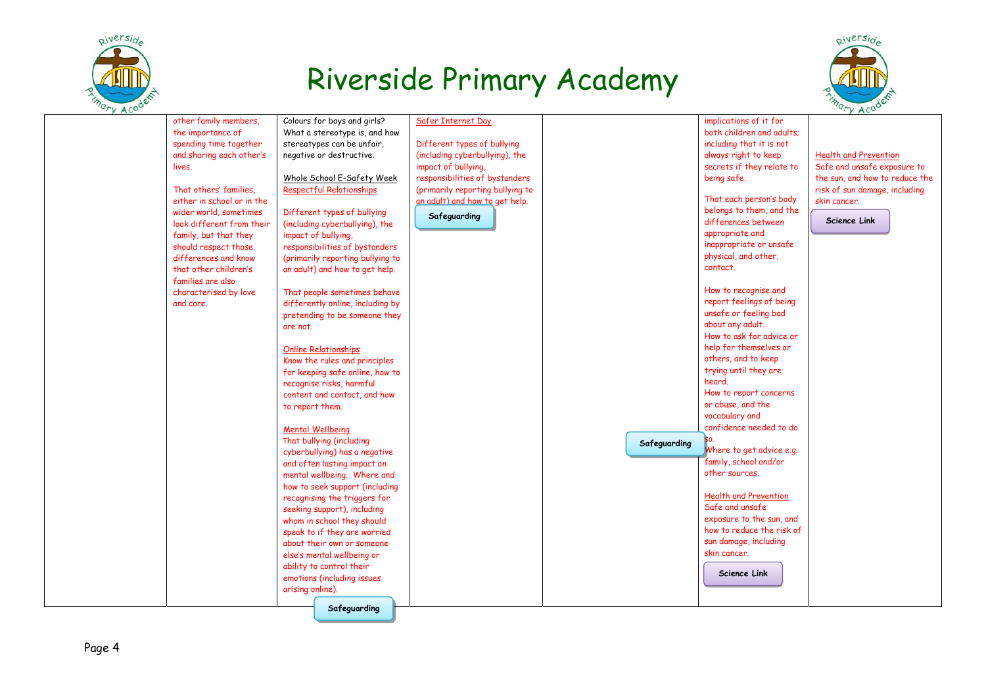



| $\sim$ |                            |                                  |                                  |              |                              | $\sim$                         |
|--------|----------------------------|----------------------------------|----------------------------------|--------------|------------------------------|--------------------------------|
|        | other family members,      | Colours for boys and girls?      | Safer Internet Day               |              | implications of it for       |                                |
|        | the importance of          | What a stereotype is, and how    |                                  |              | both children and adults;    |                                |
|        | spending time together     | stereotypes can be unfair,       | Different types of bullying      |              | including that it is not     |                                |
|        | and sharing each other's   | negative or destructive.         | (including cyberbullying), the   |              | always right to keep         | <b>Health and Prevention</b>   |
|        | lives.                     |                                  | impact of bullying,              |              | secrets if they relate to    | Safe and unsafe exposure to    |
|        |                            | Whole School E-Safety Week       | responsibilities of bystanders   |              | being safe.                  | the sun, and how to reduce the |
|        | That others' families.     | Respectful Relationships         | (primarily reporting bullying to |              |                              | risk of sun damage, including  |
|        | either in school or in the |                                  | an adult) and how to get help.   |              | That each person's body      | skin cancer.                   |
|        | wider world, sometimes     | Different types of bullying      | Safeguarding                     |              | belongs to them, and the     |                                |
|        | look different from their  | (including cyberbullying), the   |                                  |              | differences between          | <b>Science Link</b>            |
|        | family, but that they      | impact of bullying,              |                                  |              | appropriate and              |                                |
|        | should respect those       | responsibilities of bystanders   |                                  |              | inappropriate or unsafe      |                                |
|        | differences and know       | (primarily reporting bullying to |                                  |              | physical, and other,         |                                |
|        | that other children's      | an adult) and how to get help.   |                                  |              | contact.                     |                                |
|        | families are also          |                                  |                                  |              |                              |                                |
|        | characterised by love      | That people sometimes behave     |                                  |              | How to recognise and         |                                |
|        | and care.                  | differently online, including by |                                  |              | report feelings of being     |                                |
|        |                            | pretending to be someone they    |                                  |              | unsafe or feeling bad        |                                |
|        |                            | are not.                         |                                  |              | about any adult.             |                                |
|        |                            |                                  |                                  |              | How to ask for advice or     |                                |
|        |                            | <b>Online Relationships</b>      |                                  |              | help for themselves or       |                                |
|        |                            | Know the rules and principles    |                                  |              | others, and to keep          |                                |
|        |                            | for keeping safe online, how to  |                                  |              | trying until they are        |                                |
|        |                            | recognise risks, harmful         |                                  |              | heard.                       |                                |
|        |                            | content and contact, and how     |                                  |              | How to report concerns       |                                |
|        |                            | to report them.                  |                                  |              | or abuse, and the            |                                |
|        |                            |                                  |                                  |              | vocabulary and               |                                |
|        |                            | <b>Mental Wellbeing</b>          |                                  |              | confidence needed to do      |                                |
|        |                            | That bullying (including         |                                  | Safeguarding |                              |                                |
|        |                            | cyberbullying) has a negative    |                                  |              | Where to get advice e.g.     |                                |
|        |                            | and often lasting impact on      |                                  |              | family, school and/or        |                                |
|        |                            | mental wellbeing. Where and      |                                  |              | other sources.               |                                |
|        |                            | how to seek support (including   |                                  |              |                              |                                |
|        |                            | recognising the triggers for     |                                  |              | <b>Health and Prevention</b> |                                |
|        |                            | seeking support), including      |                                  |              | Safe and unsafe              |                                |
|        |                            | whom in school they should       |                                  |              | exposure to the sun, and     |                                |
|        |                            | speak to if they are worried     |                                  |              | how to reduce the risk of    |                                |
|        |                            | about their own or someone       |                                  |              | sun damage, including        |                                |
|        |                            | else's mental wellbeing or       |                                  |              | skin cancer.                 |                                |
|        |                            | ability to control their         |                                  |              | <b>Science Link</b>          |                                |
|        |                            | emotions (including issues       |                                  |              |                              |                                |
|        |                            | arising online).                 |                                  |              |                              |                                |
|        |                            | Safeguarding                     |                                  |              |                              |                                |
|        |                            |                                  |                                  |              |                              |                                |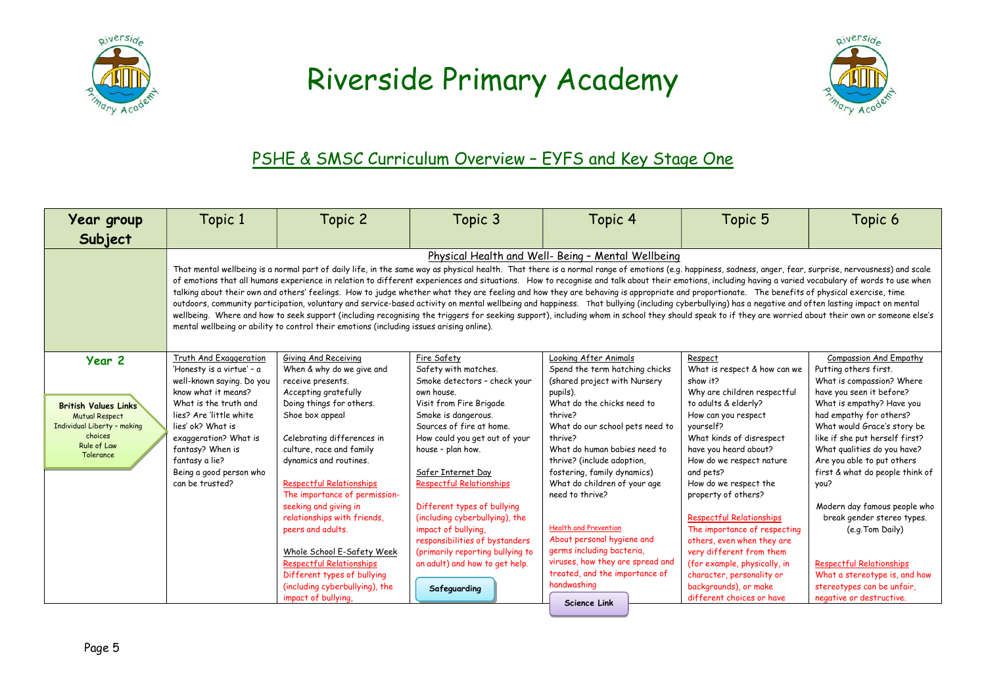



#### PSHE & SMSC Curriculum Overview - EYFS and Key Stage One

| Year group                                                                                     | Topic 1                                                                                     | Topic 2                                                                                                                                               | Topic 3                                                                                  | Topic 4                                                                                                                                                                                                                                                                                                                                                                                                                                                                                                                                                                                                                                                                                                                                                                                                                                                                                                                                                                                                                                                                                     | Topic 5                                                                                                                                     | Topic 6                                                                                                                        |
|------------------------------------------------------------------------------------------------|---------------------------------------------------------------------------------------------|-------------------------------------------------------------------------------------------------------------------------------------------------------|------------------------------------------------------------------------------------------|---------------------------------------------------------------------------------------------------------------------------------------------------------------------------------------------------------------------------------------------------------------------------------------------------------------------------------------------------------------------------------------------------------------------------------------------------------------------------------------------------------------------------------------------------------------------------------------------------------------------------------------------------------------------------------------------------------------------------------------------------------------------------------------------------------------------------------------------------------------------------------------------------------------------------------------------------------------------------------------------------------------------------------------------------------------------------------------------|---------------------------------------------------------------------------------------------------------------------------------------------|--------------------------------------------------------------------------------------------------------------------------------|
| Subject                                                                                        |                                                                                             |                                                                                                                                                       |                                                                                          |                                                                                                                                                                                                                                                                                                                                                                                                                                                                                                                                                                                                                                                                                                                                                                                                                                                                                                                                                                                                                                                                                             |                                                                                                                                             |                                                                                                                                |
|                                                                                                |                                                                                             | mental wellbeing or ability to control their emotions (including issues arising online).                                                              |                                                                                          | Physical Health and Well- Being - Mental Wellbeing<br>That mental wellbeing is a normal part of daily life, in the same way as physical health. That there is a normal range of emotions (e.g. happiness, sadness, anger, fear, surprise, nervousness) and scale<br>of emotions that all humans experience in relation to different experiences and situations. How to recognise and talk about their emotions, including having a varied vocabulary of words to use when<br>talking about their own and others' feelings. How to judge whether what they are feeling and how they are behaving is appropriate and proportionate. The benefits of physical exercise, time<br>outdoors, community participation, voluntary and service-based activity on mental wellbeing and happiness. That bullying (including cyberbullying) has a negative and often lasting impact on mental<br>wellbeing. Where and how to seek support (including recognising the triggers for seeking support), including whom in school they should speak to if they are worried about their own or someone else's |                                                                                                                                             |                                                                                                                                |
| Year <sub>2</sub>                                                                              | Truth And Exaggeration<br>'Honesty is a virtue' - a<br>well-known saying. Do you            | Giving And Receiving<br>When & why do we give and<br>receive presents.                                                                                | Fire Safety<br>Safety with matches.<br>Smoke detectors - check your                      | Looking After Animals<br>Spend the term hatching chicks<br>(shared project with Nursery                                                                                                                                                                                                                                                                                                                                                                                                                                                                                                                                                                                                                                                                                                                                                                                                                                                                                                                                                                                                     | Respect<br>What is respect & how can we<br>show it?                                                                                         | Compassion And Empathy<br>Putting others first.<br>What is compassion? Where                                                   |
| <b>British Values Links</b><br><b>Mutual Respect</b><br>Individual Liberty - making<br>choices | know what it means?<br>What is the truth and<br>lies? Are little white<br>lies' ok? What is | Accepting gratefully<br>Doing things for others.<br>Shoe box appeal                                                                                   | own house.<br>Visit from Fire Brigade<br>Smoke is dangerous.<br>Sources of fire at home. | pupils).<br>What do the chicks need to<br>thrive?<br>What do our school pets need to                                                                                                                                                                                                                                                                                                                                                                                                                                                                                                                                                                                                                                                                                                                                                                                                                                                                                                                                                                                                        | Why are children respectful<br>to adults & elderly?<br>How can you respect<br>vourself?                                                     | have you seen it before?<br>What is empathy? Have you<br>had empathy for others?<br>What would Grace's story be                |
| Rule of Law<br>Tolerance                                                                       | exaggeration? What is<br>fantasy? When is<br>fantasy a lie?<br>Being a good person who      | Celebrating differences in<br>culture, race and family<br>dynamics and routines.                                                                      | How could you get out of your<br>house - plan how.<br>Safer Internet Day                 | thrive?<br>What do human babies need to<br>thrive? (include adoption,<br>fostering, family dynamics)                                                                                                                                                                                                                                                                                                                                                                                                                                                                                                                                                                                                                                                                                                                                                                                                                                                                                                                                                                                        | What kinds of disrespect<br>have you heard about?<br>How do we respect nature<br>and pets?                                                  | like if she put herself first?<br>What qualities do you have?<br>Are you able to put others<br>first & what do people think of |
|                                                                                                | can be trusted?                                                                             | <b>Respectful Relationships</b><br>The importance of permission-<br>seeking and giving in                                                             | <b>Respectful Relationships</b><br>Different types of bullying                           | What do children of your age<br>need to thrive?                                                                                                                                                                                                                                                                                                                                                                                                                                                                                                                                                                                                                                                                                                                                                                                                                                                                                                                                                                                                                                             | How do we respect the<br>property of others?                                                                                                | you?<br>Modern day famous people who                                                                                           |
|                                                                                                |                                                                                             | relationships with friends,<br>peers and adults.                                                                                                      | (including cyberbullying), the<br>impact of bullying.<br>responsibilities of bystanders  | <b>Health and Prevention</b><br>About personal hygiene and                                                                                                                                                                                                                                                                                                                                                                                                                                                                                                                                                                                                                                                                                                                                                                                                                                                                                                                                                                                                                                  | <b>Respectful Relationships</b><br>The importance of respecting<br>others, even when they are                                               | break gender stereo types.<br>(e.g. Tom Daily)                                                                                 |
|                                                                                                |                                                                                             | Whole School E-Safety Week<br><b>Respectful Relationships</b><br>Different types of bullying<br>(including cyberbullying), the<br>impact of bullying, | (primarily reporting bullying to<br>an adult) and how to get help.<br>Safeguarding       | germs including bacteria,<br>viruses, how they are spread and<br>treated, and the importance of<br>handwashing<br><b>Science Link</b>                                                                                                                                                                                                                                                                                                                                                                                                                                                                                                                                                                                                                                                                                                                                                                                                                                                                                                                                                       | very different from them<br>(for example, physically, in<br>character, personality or<br>backgrounds), or make<br>different choices or have | <b>Respectful Relationships</b><br>What a stereotype is, and how<br>stereotypes can be unfair,<br>negative or destructive.     |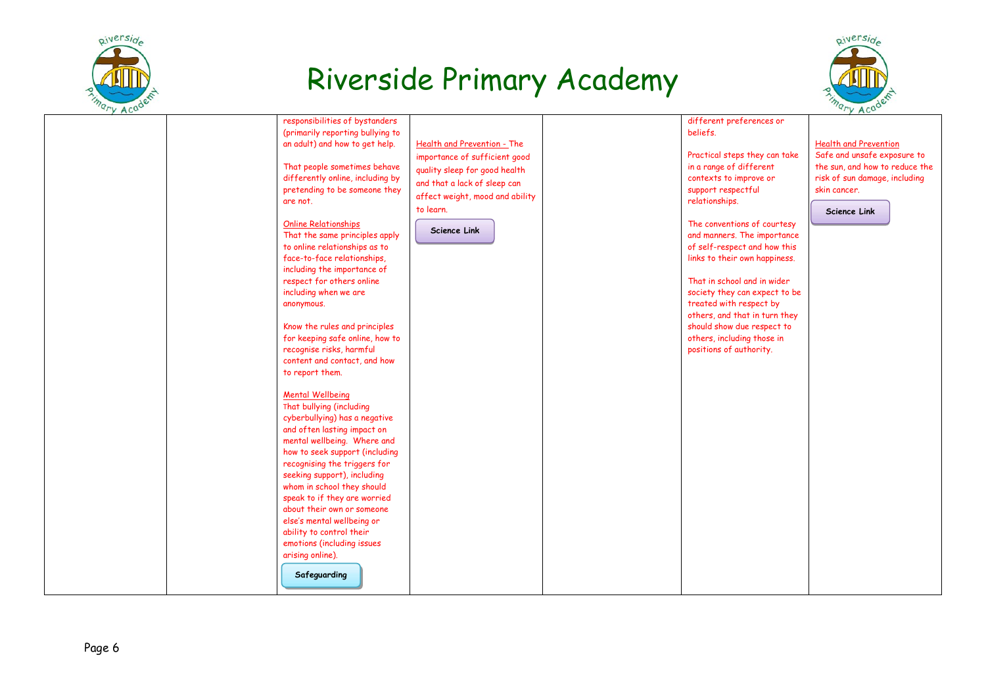



| responsibilities of bystanders<br>(primarily reporting bullying to<br>an adult) and how to get help.<br>That people sometimes behave<br>differently online, including by<br>pretending to be someone they<br>are not.<br><b>Online Relationships</b><br>That the same principles apply<br>to online relationships as to<br>face-to-face relationships,<br>including the importance of<br>respect for others online<br>including when we are<br>anonymous.                                                                                                                                                                      | Health and Prevention - The<br>importance of sufficient good<br>quality sleep for good health<br>and that a lack of sleep can<br>affect weight, mood and ability<br>to learn.<br>Science Link | different preferences or<br>beliefs.<br>Practical steps they can take<br>in a range of different<br>contexts to improve or<br>support respectful<br>relationships.<br>The conventions of courtesy<br>and manners. The importance<br>of self-respect and how this<br>links to their own happiness.<br>That in school and in wider<br>society they can expect to be<br>treated with respect by | <b>Health and Prevention</b><br>Safe and unsafe exposure to<br>the sun, and how to reduce the<br>risk of sun damage, including<br>skin cancer.<br>Science Link |
|--------------------------------------------------------------------------------------------------------------------------------------------------------------------------------------------------------------------------------------------------------------------------------------------------------------------------------------------------------------------------------------------------------------------------------------------------------------------------------------------------------------------------------------------------------------------------------------------------------------------------------|-----------------------------------------------------------------------------------------------------------------------------------------------------------------------------------------------|----------------------------------------------------------------------------------------------------------------------------------------------------------------------------------------------------------------------------------------------------------------------------------------------------------------------------------------------------------------------------------------------|----------------------------------------------------------------------------------------------------------------------------------------------------------------|
| Know the rules and principles<br>for keeping safe online, how to<br>recognise risks, harmful<br>content and contact, and how<br>to report them.<br><b>Mental Wellbeing</b><br>That bullying (including<br>cyberbullying) has a negative<br>and often lasting impact on<br>mental wellbeing. Where and<br>how to seek support (including<br>recognising the triggers for<br>seeking support), including<br>whom in school they should<br>speak to if they are worried<br>about their own or someone<br>else's mental wellbeing or<br>ability to control their<br>emotions (including issues<br>arising online).<br>Safeguarding |                                                                                                                                                                                               | others, and that in turn they<br>should show due respect to<br>others, including those in<br>positions of authority.                                                                                                                                                                                                                                                                         |                                                                                                                                                                |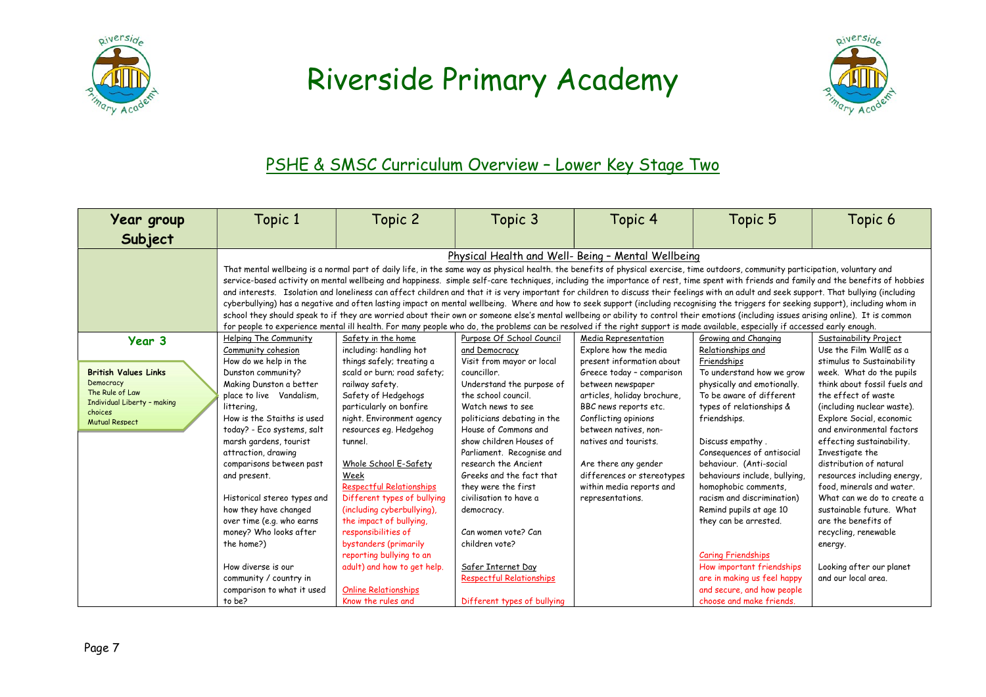



#### PSHE & SMSC Curriculum Overview – Lower Key Stage Two

| Year group<br>Subject                                                                                                                    | Topic 1                                                                                                                                                                                                                                                                                                                                                                                                                                                                                               | Topic 2                                                                                                                                                                                                                                                                                                                                                                                                                                                                                                                                                                                                                                                                                                                                                                                                                                                                                                                                                                                                                                                                                                                                                                                               | Topic 3                                                                                                                                                                                                                                                                                                                                                                                                                                                                                             | Topic 4                                                                                                                                                                                                                                                                                                                                                              | Topic 5                                                                                                                                                                                                                                                                                                                                                                                                                                                                                                       | Topic 6                                                                                                                                                                                                                                                                                                                                                                                                                                                                                                                                                                 |  |  |
|------------------------------------------------------------------------------------------------------------------------------------------|-------------------------------------------------------------------------------------------------------------------------------------------------------------------------------------------------------------------------------------------------------------------------------------------------------------------------------------------------------------------------------------------------------------------------------------------------------------------------------------------------------|-------------------------------------------------------------------------------------------------------------------------------------------------------------------------------------------------------------------------------------------------------------------------------------------------------------------------------------------------------------------------------------------------------------------------------------------------------------------------------------------------------------------------------------------------------------------------------------------------------------------------------------------------------------------------------------------------------------------------------------------------------------------------------------------------------------------------------------------------------------------------------------------------------------------------------------------------------------------------------------------------------------------------------------------------------------------------------------------------------------------------------------------------------------------------------------------------------|-----------------------------------------------------------------------------------------------------------------------------------------------------------------------------------------------------------------------------------------------------------------------------------------------------------------------------------------------------------------------------------------------------------------------------------------------------------------------------------------------------|----------------------------------------------------------------------------------------------------------------------------------------------------------------------------------------------------------------------------------------------------------------------------------------------------------------------------------------------------------------------|---------------------------------------------------------------------------------------------------------------------------------------------------------------------------------------------------------------------------------------------------------------------------------------------------------------------------------------------------------------------------------------------------------------------------------------------------------------------------------------------------------------|-------------------------------------------------------------------------------------------------------------------------------------------------------------------------------------------------------------------------------------------------------------------------------------------------------------------------------------------------------------------------------------------------------------------------------------------------------------------------------------------------------------------------------------------------------------------------|--|--|
|                                                                                                                                          |                                                                                                                                                                                                                                                                                                                                                                                                                                                                                                       | Physical Health and Well- Being - Mental Wellbeing<br>That mental wellbeing is a normal part of daily life, in the same way as physical health. the benefits of physical exercise, time outdoors, community participation, voluntary and<br>service-based activity on mental wellbeing and happiness. simple self-care techniques, including the importance of rest, time spent with friends and family and the benefits of hobbies<br>and interests. Isolation and loneliness can affect children and that it is very important for children to discuss their feelings with an adult and seek support. That bullying (including<br>cyberbullying) has a negative and often lasting impact on mental wellbeing. Where and how to seek support (including recognising the triggers for seeking support), including whom in<br>school they should speak to if they are worried about their own or someone else's mental wellbeing or ability to control their emotions (including issues arising online). It is common<br>for people to experience mental ill health. For many people who do, the problems can be resolved if the right support is made available, especially if accessed early enough. |                                                                                                                                                                                                                                                                                                                                                                                                                                                                                                     |                                                                                                                                                                                                                                                                                                                                                                      |                                                                                                                                                                                                                                                                                                                                                                                                                                                                                                               |                                                                                                                                                                                                                                                                                                                                                                                                                                                                                                                                                                         |  |  |
| Year 3<br><b>British Values Links</b><br>Democracy<br>The Rule of Law<br>Individual Liberty - making<br>choices<br><b>Mutual Respect</b> | Helping The Community<br>Community cohesion<br>How do we help in the<br>Dunston community?<br>Making Dunston a better<br>place to live Vandalism,<br>littering,<br>How is the Staiths is used<br>today? - Eco systems, salt<br>marsh gardens, tourist<br>attraction, drawing<br>comparisons between past<br>and present.<br>Historical stereo types and<br>how they have changed<br>over time (e.g. who earns<br>money? Who looks after<br>the home?)<br>How diverse is our<br>community / country in | Safety in the home<br>including: handling hot<br>things safely; treating a<br>scald or burn; road safety;<br>railway safety.<br>Safety of Hedgehogs<br>particularly on bonfire<br>night. Environment agency<br>resources eg. Hedgehog<br>tunnel.<br>Whole School E-Safety<br>Week<br><b>Respectful Relationships</b><br>Different types of bullying<br>(including cyberbullying).<br>the impact of bullying.<br>responsibilities of<br>bystanders (primarily<br>reporting bullying to an<br>adult) and how to get help.                                                                                                                                                                                                                                                                                                                                                                                                                                                                                                                                                                                                                                                                               | Purpose Of School Council<br>and Democracy<br>Visit from mayor or local<br>councillor.<br>Understand the purpose of<br>the school council.<br>Watch news to see<br>politicians debating in the<br>House of Commons and<br>show children Houses of<br>Parliament. Recognise and<br>research the Ancient<br>Greeks and the fact that<br>they were the first<br>civilisation to have a<br>democracy.<br>Can women vote? Can<br>children vote?<br>Safer Internet Day<br><b>Respectful Relationships</b> | Media Representation<br>Explore how the media<br>present information about<br>Greece today - comparison<br>between newspaper<br>articles, holiday brochure,<br>BBC news reports etc.<br>Conflicting opinions<br>between natives, non-<br>natives and tourists.<br>Are there any gender<br>differences or stereotypes<br>within media reports and<br>representations. | Growing and Changing<br>Relationships and<br>Friendships<br>To understand how we grow<br>physically and emotionally.<br>To be aware of different<br>types of relationships &<br>friendships.<br>Discuss empathy.<br>Consequences of antisocial<br>behaviour. (Anti-social<br>behaviours include, bullying,<br>homophobic comments,<br>racism and discrimination)<br>Remind pupils at age 10<br>they can be arrested.<br><b>Caring Friendships</b><br>How important friendships<br>are in making us feel happy | Sustainability Project<br>Use the Film WallF as a<br>stimulus to Sustainability<br>week. What do the pupils<br>think about fossil fuels and<br>the effect of waste<br>(including nuclear waste).<br>Explore Social, economic<br>and environmental factors<br>effecting sustainability.<br>Investigate the<br>distribution of natural<br>resources including energy,<br>food, minerals and water.<br>What can we do to create a<br>sustainable future. What<br>are the benefits of<br>recycling, renewable<br>energy.<br>Looking after our planet<br>and our local area. |  |  |
|                                                                                                                                          | comparison to what it used<br>to be?                                                                                                                                                                                                                                                                                                                                                                                                                                                                  | <b>Online Relationships</b><br>Know the rules and                                                                                                                                                                                                                                                                                                                                                                                                                                                                                                                                                                                                                                                                                                                                                                                                                                                                                                                                                                                                                                                                                                                                                     | Different types of bullying                                                                                                                                                                                                                                                                                                                                                                                                                                                                         |                                                                                                                                                                                                                                                                                                                                                                      | and secure, and how people<br>choose and make friends.                                                                                                                                                                                                                                                                                                                                                                                                                                                        |                                                                                                                                                                                                                                                                                                                                                                                                                                                                                                                                                                         |  |  |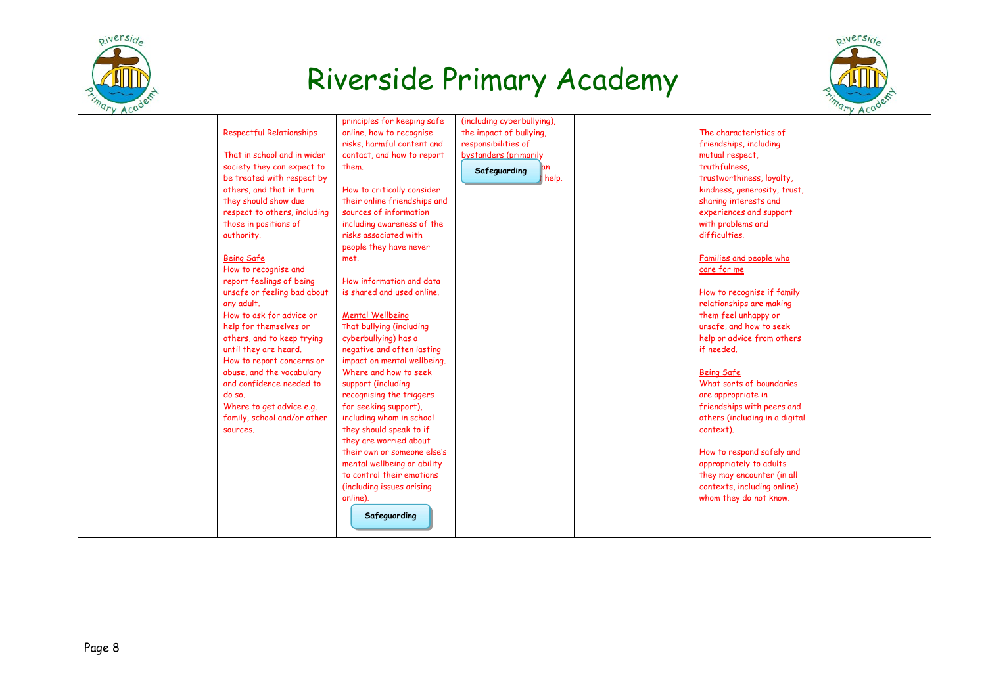



|                                 | principles for keeping safe  | (including cyberbullying), |                                |  |
|---------------------------------|------------------------------|----------------------------|--------------------------------|--|
| <b>Respectful Relationships</b> | online, how to recognise     | the impact of bullying,    | The characteristics of         |  |
|                                 | risks, harmful content and   | responsibilities of        | friendships, including         |  |
| That in school and in wider     | contact, and how to report   | bystanders (primarily      | mutual respect,                |  |
| society they can expect to      | them.                        | an<br>Safeguarding         | truthfulness.                  |  |
| be treated with respect by      |                              | help.                      | trustworthiness, loyalty,      |  |
| others, and that in turn        | How to critically consider   |                            | kindness, generosity, trust,   |  |
| they should show due            | their online friendships and |                            | sharing interests and          |  |
| respect to others, including    | sources of information       |                            | experiences and support        |  |
| those in positions of           | including awareness of the   |                            | with problems and              |  |
| authority.                      | risks associated with        |                            | difficulties.                  |  |
|                                 | people they have never       |                            |                                |  |
| <b>Being Safe</b>               | met.                         |                            | Families and people who        |  |
| How to recognise and            |                              |                            | care for me                    |  |
| report feelings of being        | How information and data     |                            |                                |  |
| unsafe or feeling bad about     | is shared and used online.   |                            | How to recognise if family     |  |
| any adult.                      |                              |                            | relationships are making       |  |
| How to ask for advice or        | <b>Mental Wellbeing</b>      |                            | them feel unhappy or           |  |
| help for themselves or          | That bullying (including     |                            | unsafe, and how to seek        |  |
| others, and to keep trying      | cyberbullying) has a         |                            | help or advice from others     |  |
| until they are heard.           | negative and often lasting   |                            | if needed.                     |  |
| How to report concerns or       | impact on mental wellbeing.  |                            |                                |  |
| abuse, and the vocabulary       | Where and how to seek        |                            | <b>Being Safe</b>              |  |
| and confidence needed to        | support (including           |                            | What sorts of boundaries       |  |
| do so.                          | recognising the triggers     |                            | are appropriate in             |  |
| Where to get advice e.g.        | for seeking support),        |                            | friendships with peers and     |  |
| family, school and/or other     | including whom in school     |                            | others (including in a digital |  |
| sources.                        | they should speak to if      |                            | context).                      |  |
|                                 | they are worried about       |                            |                                |  |
|                                 | their own or someone else's  |                            | How to respond safely and      |  |
|                                 | mental wellbeing or ability  |                            | appropriately to adults        |  |
|                                 | to control their emotions    |                            | they may encounter (in all     |  |
|                                 | (including issues arising    |                            | contexts, including online)    |  |
|                                 | online).                     |                            | whom they do not know.         |  |
|                                 |                              |                            |                                |  |
|                                 | Safeguarding                 |                            |                                |  |
|                                 |                              |                            |                                |  |
|                                 |                              |                            |                                |  |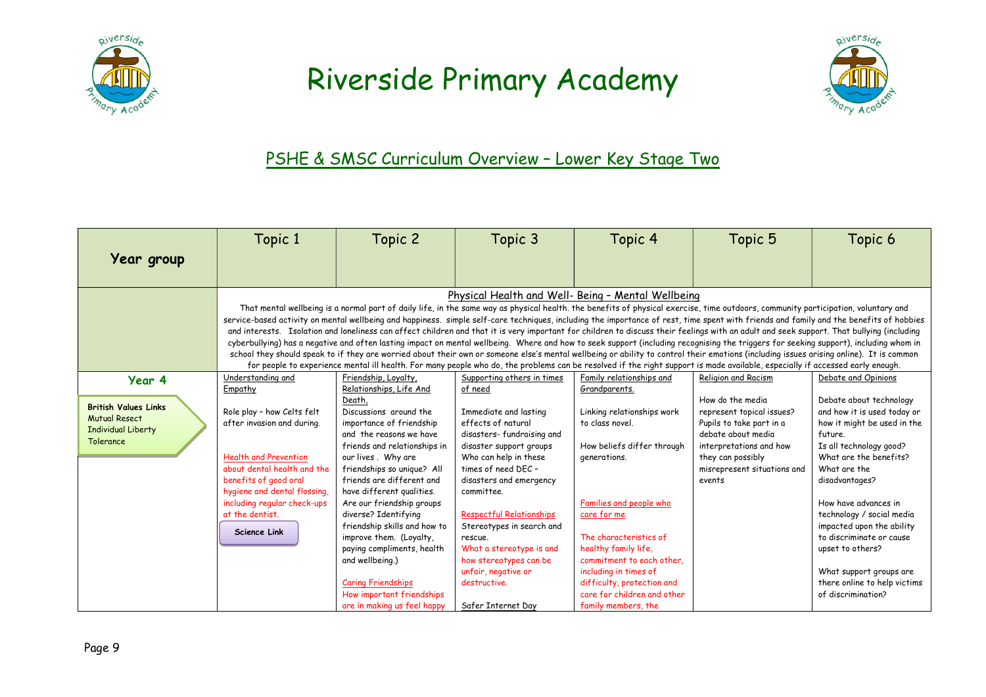



#### PSHE & SMSC Curriculum Overview – Lower Key Stage Two

|                                                                                                      | Topic 1                                                                                                                                                                                                                                                              | Topic 2                                                                                                                                                                                                                                                                                                                                                                                                                                                                                                                    | Topic 3                                                                                                                                                                                                                                                                                                                                                                                               | Topic 4                                                                                                                                                                                                                                                                                                                                            | Topic 5                                                                                                                                                                                                                                                                                                                                                                                                                                                                                                                                                                                                                                                                                                                                                                                                                                                                                                                                                                                                                                                                                                                                         | Topic 6                                                                                                                                                                                                                                                                                                                                                                                                    |
|------------------------------------------------------------------------------------------------------|----------------------------------------------------------------------------------------------------------------------------------------------------------------------------------------------------------------------------------------------------------------------|----------------------------------------------------------------------------------------------------------------------------------------------------------------------------------------------------------------------------------------------------------------------------------------------------------------------------------------------------------------------------------------------------------------------------------------------------------------------------------------------------------------------------|-------------------------------------------------------------------------------------------------------------------------------------------------------------------------------------------------------------------------------------------------------------------------------------------------------------------------------------------------------------------------------------------------------|----------------------------------------------------------------------------------------------------------------------------------------------------------------------------------------------------------------------------------------------------------------------------------------------------------------------------------------------------|-------------------------------------------------------------------------------------------------------------------------------------------------------------------------------------------------------------------------------------------------------------------------------------------------------------------------------------------------------------------------------------------------------------------------------------------------------------------------------------------------------------------------------------------------------------------------------------------------------------------------------------------------------------------------------------------------------------------------------------------------------------------------------------------------------------------------------------------------------------------------------------------------------------------------------------------------------------------------------------------------------------------------------------------------------------------------------------------------------------------------------------------------|------------------------------------------------------------------------------------------------------------------------------------------------------------------------------------------------------------------------------------------------------------------------------------------------------------------------------------------------------------------------------------------------------------|
| Year group                                                                                           |                                                                                                                                                                                                                                                                      |                                                                                                                                                                                                                                                                                                                                                                                                                                                                                                                            |                                                                                                                                                                                                                                                                                                                                                                                                       |                                                                                                                                                                                                                                                                                                                                                    |                                                                                                                                                                                                                                                                                                                                                                                                                                                                                                                                                                                                                                                                                                                                                                                                                                                                                                                                                                                                                                                                                                                                                 |                                                                                                                                                                                                                                                                                                                                                                                                            |
|                                                                                                      |                                                                                                                                                                                                                                                                      |                                                                                                                                                                                                                                                                                                                                                                                                                                                                                                                            |                                                                                                                                                                                                                                                                                                                                                                                                       | Physical Health and Well- Being - Mental Wellbeing                                                                                                                                                                                                                                                                                                 |                                                                                                                                                                                                                                                                                                                                                                                                                                                                                                                                                                                                                                                                                                                                                                                                                                                                                                                                                                                                                                                                                                                                                 |                                                                                                                                                                                                                                                                                                                                                                                                            |
|                                                                                                      |                                                                                                                                                                                                                                                                      |                                                                                                                                                                                                                                                                                                                                                                                                                                                                                                                            |                                                                                                                                                                                                                                                                                                                                                                                                       |                                                                                                                                                                                                                                                                                                                                                    | That mental wellbeing is a normal part of daily life, in the same way as physical health. the benefits of physical exercise, time outdoors, community participation, voluntary and<br>service-based activity on mental wellbeing and happiness. simple self-care techniques, including the importance of rest, time spent with friends and family and the benefits of hobbies<br>and interests. Isolation and loneliness can affect children and that it is very important for children to discuss their feelings with an adult and seek support. That bullying (including<br>cyberbullying) has a negative and often lasting impact on mental wellbeing. Where and how to seek support (including recognising the triggers for seeking support), including whom in<br>school they should speak to if they are worried about their own or someone else's mental wellbeing or ability to control their emotions (including issues arising online). It is common<br>for people to experience mental ill health. For many people who do, the problems can be resolved if the right support is made available, especially if accessed early enough. |                                                                                                                                                                                                                                                                                                                                                                                                            |
| Year 4                                                                                               | Understanding and                                                                                                                                                                                                                                                    | Friendship, Loyalty,                                                                                                                                                                                                                                                                                                                                                                                                                                                                                                       | Supporting others in times                                                                                                                                                                                                                                                                                                                                                                            | Family relationships and                                                                                                                                                                                                                                                                                                                           | Religion and Racism                                                                                                                                                                                                                                                                                                                                                                                                                                                                                                                                                                                                                                                                                                                                                                                                                                                                                                                                                                                                                                                                                                                             | Debate and Opinions                                                                                                                                                                                                                                                                                                                                                                                        |
| <b>British Values Links</b><br><b>Mutual Resect</b><br><b>Individual Liberty</b><br><b>Tolerance</b> | Empathy<br>Role play - how Celts felt<br>after invasion and during.<br><b>Health and Prevention</b><br>about dental health and the<br>benefits of good oral<br>hygiene and dental flossing,<br>including regular check-ups<br>at the dentist.<br><b>Science Link</b> | Relationships, Life And<br>Death,<br>Discussions around the<br>importance of friendship<br>and the reasons we have<br>friends and relationships in<br>our lives. Why are<br>friendships so unique? All<br>friends are different and<br>have different qualities.<br>Are our friendship groups<br>diverse? Identifying<br>friendship skills and how to<br>improve them. (Loyalty,<br>paying compliments, health<br>and wellbeing.)<br><b>Caring Friendships</b><br>How important friendships<br>are in making us feel happy | of need<br>Immediate and lasting<br>effects of natural<br>disasters-fundraising and<br>disaster support groups<br>Who can help in these<br>times of need DEC -<br>disasters and emergency<br>committee.<br><b>Respectful Relationships</b><br>Stereotypes in search and<br>rescue.<br>What a stereotype is and<br>how stereotypes can be<br>unfair, negative or<br>destructive.<br>Safer Internet Day | Grandparents.<br>Linking relationships work<br>to class novel.<br>How beliefs differ through<br>generations.<br>Families and people who<br>care for me<br>The characteristics of<br>healthy family life,<br>commitment to each other,<br>including in times of<br>difficulty, protection and<br>care for children and other<br>family members, the | How do the media<br>represent topical issues?<br>Pupils to take part in a<br>debate about media<br>interpretations and how<br>they can possibly<br>misrepresent situations and<br>events                                                                                                                                                                                                                                                                                                                                                                                                                                                                                                                                                                                                                                                                                                                                                                                                                                                                                                                                                        | Debate about technology<br>and how it is used today or<br>how it might be used in the<br>future.<br>Is all technology good?<br>What are the benefits?<br>What are the<br>disadvantages?<br>How have advances in<br>technology / social media<br>impacted upon the ability<br>to discriminate or cause<br>upset to others?<br>What support groups are<br>there online to help victims<br>of discrimination? |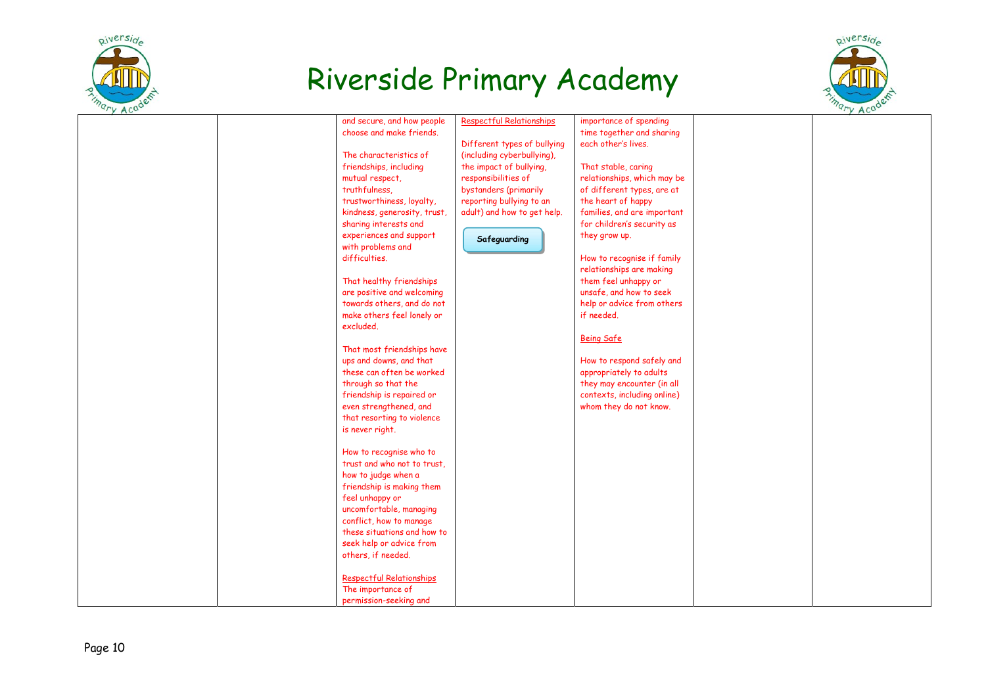



| and secure, and how people      | Respectful Relationships    | importance of spending      |  |
|---------------------------------|-----------------------------|-----------------------------|--|
| choose and make friends.        |                             | time together and sharing   |  |
|                                 | Different types of bullying | each other's lives.         |  |
| The characteristics of          | (including cyberbullying),  |                             |  |
| friendships, including          | the impact of bullying,     | That stable, caring         |  |
| mutual respect,                 | responsibilities of         | relationships, which may be |  |
|                                 |                             |                             |  |
| truthfulness.                   | bystanders (primarily       | of different types, are at  |  |
| trustworthiness, loyalty,       | reporting bullying to an    | the heart of happy          |  |
| kindness, generosity, trust,    | adult) and how to get help. | families, and are important |  |
| sharing interests and           |                             | for children's security as  |  |
| experiences and support         | Safeguarding                | they grow up.               |  |
| with problems and               |                             |                             |  |
| difficulties.                   |                             | How to recognise if family  |  |
|                                 |                             | relationships are making    |  |
| That healthy friendships        |                             | them feel unhappy or        |  |
| are positive and welcoming      |                             | unsafe, and how to seek     |  |
| towards others, and do not      |                             | help or advice from others  |  |
| make others feel lonely or      |                             | if needed.                  |  |
| excluded.                       |                             |                             |  |
|                                 |                             |                             |  |
|                                 |                             | <b>Being Safe</b>           |  |
| That most friendships have      |                             |                             |  |
| ups and downs, and that         |                             | How to respond safely and   |  |
| these can often be worked       |                             | appropriately to adults     |  |
| through so that the             |                             | they may encounter (in all  |  |
| friendship is repaired or       |                             | contexts, including online) |  |
| even strengthened, and          |                             | whom they do not know.      |  |
| that resorting to violence      |                             |                             |  |
| is never right.                 |                             |                             |  |
|                                 |                             |                             |  |
| How to recognise who to         |                             |                             |  |
| trust and who not to trust.     |                             |                             |  |
| how to judge when a             |                             |                             |  |
| friendship is making them       |                             |                             |  |
| feel unhappy or                 |                             |                             |  |
| uncomfortable, managing         |                             |                             |  |
| conflict, how to manage         |                             |                             |  |
| these situations and how to     |                             |                             |  |
| seek help or advice from        |                             |                             |  |
|                                 |                             |                             |  |
| others, if needed.              |                             |                             |  |
|                                 |                             |                             |  |
| <b>Respectful Relationships</b> |                             |                             |  |
| The importance of               |                             |                             |  |
| permission-seeking and          |                             |                             |  |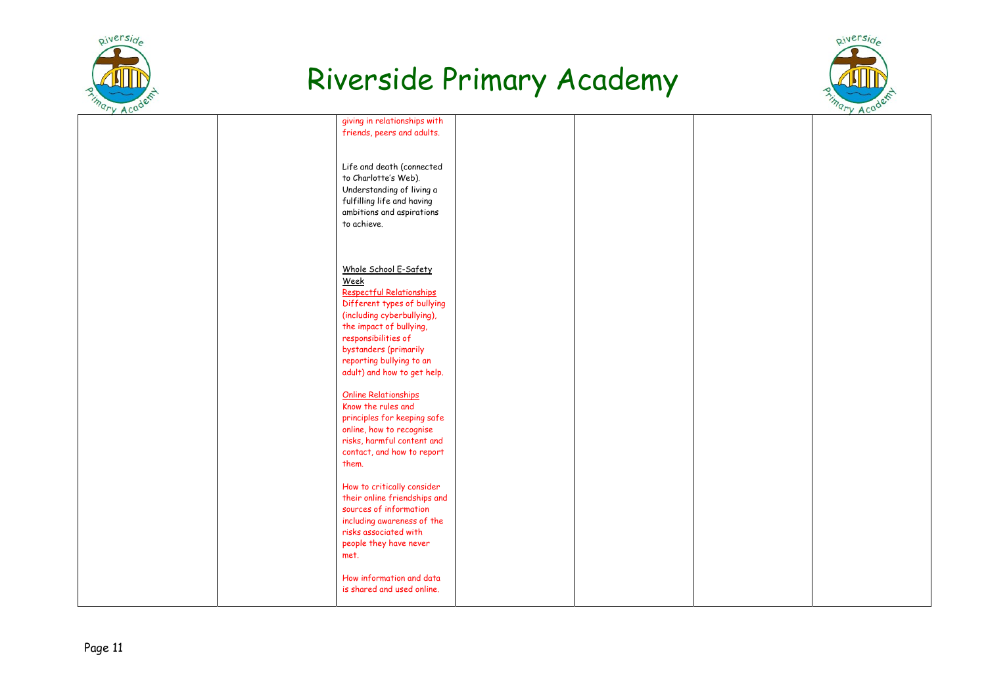



| giving in relationships with |  |  |
|------------------------------|--|--|
|                              |  |  |
| friends, peers and adults.   |  |  |
|                              |  |  |
|                              |  |  |
|                              |  |  |
|                              |  |  |
| Life and death (connected    |  |  |
|                              |  |  |
| to Charlotte's Web).         |  |  |
|                              |  |  |
| Understanding of living a    |  |  |
| fulfilling life and having   |  |  |
|                              |  |  |
| ambitions and aspirations    |  |  |
| to achieve.                  |  |  |
|                              |  |  |
|                              |  |  |
|                              |  |  |
|                              |  |  |
|                              |  |  |
|                              |  |  |
| Whole School E-Safety        |  |  |
|                              |  |  |
| Week                         |  |  |
|                              |  |  |
| Respectful Relationships     |  |  |
| Different types of bullying  |  |  |
|                              |  |  |
| (including cyberbullying),   |  |  |
|                              |  |  |
| the impact of bullying,      |  |  |
| responsibilities of          |  |  |
|                              |  |  |
| bystanders (primarily        |  |  |
|                              |  |  |
| reporting bullying to an     |  |  |
| adult) and how to get help.  |  |  |
|                              |  |  |
|                              |  |  |
| <b>Online Relationships</b>  |  |  |
|                              |  |  |
| Know the rules and           |  |  |
|                              |  |  |
| principles for keeping safe  |  |  |
| online, how to recognise     |  |  |
|                              |  |  |
| risks, harmful content and   |  |  |
|                              |  |  |
| contact, and how to report   |  |  |
| them.                        |  |  |
|                              |  |  |
|                              |  |  |
|                              |  |  |
| How to critically consider   |  |  |
| their online friendships and |  |  |
|                              |  |  |
| sources of information       |  |  |
|                              |  |  |
| including awareness of the   |  |  |
| risks associated with        |  |  |
|                              |  |  |
| people they have never       |  |  |
| met.                         |  |  |
|                              |  |  |
|                              |  |  |
|                              |  |  |
| How information and data     |  |  |
| is shared and used online.   |  |  |
|                              |  |  |
|                              |  |  |
|                              |  |  |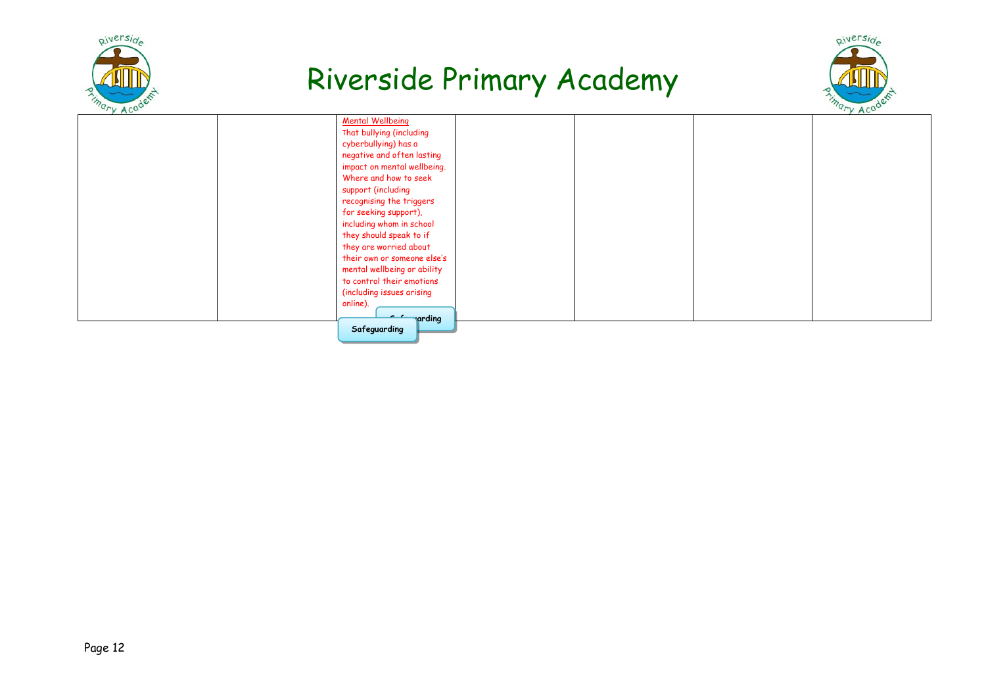



| "'y Acu |                             | "'y Acu |
|---------|-----------------------------|---------|
|         | <b>Mental Wellbeing</b>     |         |
|         | That bullying (including    |         |
|         | cyberbullying) has a        |         |
|         | negative and often lasting  |         |
|         | impact on mental wellbeing. |         |
|         | Where and how to seek       |         |
|         | support (including          |         |
|         | recognising the triggers    |         |
|         | for seeking support),       |         |
|         | including whom in school    |         |
|         | they should speak to if     |         |
|         | they are worried about      |         |
|         | their own or someone else's |         |
|         | mental wellbeing or ability |         |
|         | to control their emotions   |         |
|         | (including issues arising   |         |
|         | online).                    |         |
|         | arding                      |         |
|         | Safeguarding                |         |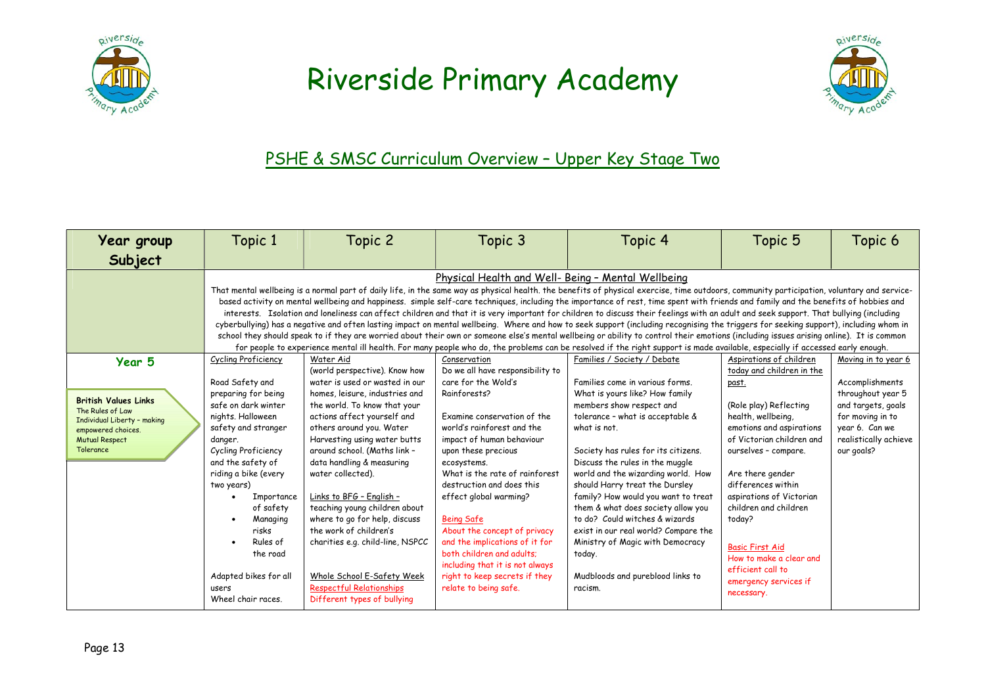



#### PSHE & SMSC Curriculum Overview - Upper Key Stage Two

| Year group                                                                                                                                           | Topic 1                                                                                                                                                                                                                                                                                                                                                                                                                                                                                                                                                                                                                                                                                                                                                                                                                                                                                                                                                                                                                                                                                                                                                                                                | Topic 2                                                                                                                                                                                                                                                                                                                                                                                                                                                                                                                                                                                 | Topic 3                                                                                                                                                                                                                                                                                                                                                                                                                                                                                                                           | Topic 4                                                                                                                                                                                                                                                                                                                                                                                                                                                                                                                                                                                | Topic 5                                                                                                                                                                                                                                                                                                                                                                                                                  | Topic 6                                                                                                                                                        |  |
|------------------------------------------------------------------------------------------------------------------------------------------------------|--------------------------------------------------------------------------------------------------------------------------------------------------------------------------------------------------------------------------------------------------------------------------------------------------------------------------------------------------------------------------------------------------------------------------------------------------------------------------------------------------------------------------------------------------------------------------------------------------------------------------------------------------------------------------------------------------------------------------------------------------------------------------------------------------------------------------------------------------------------------------------------------------------------------------------------------------------------------------------------------------------------------------------------------------------------------------------------------------------------------------------------------------------------------------------------------------------|-----------------------------------------------------------------------------------------------------------------------------------------------------------------------------------------------------------------------------------------------------------------------------------------------------------------------------------------------------------------------------------------------------------------------------------------------------------------------------------------------------------------------------------------------------------------------------------------|-----------------------------------------------------------------------------------------------------------------------------------------------------------------------------------------------------------------------------------------------------------------------------------------------------------------------------------------------------------------------------------------------------------------------------------------------------------------------------------------------------------------------------------|----------------------------------------------------------------------------------------------------------------------------------------------------------------------------------------------------------------------------------------------------------------------------------------------------------------------------------------------------------------------------------------------------------------------------------------------------------------------------------------------------------------------------------------------------------------------------------------|--------------------------------------------------------------------------------------------------------------------------------------------------------------------------------------------------------------------------------------------------------------------------------------------------------------------------------------------------------------------------------------------------------------------------|----------------------------------------------------------------------------------------------------------------------------------------------------------------|--|
| Subject                                                                                                                                              |                                                                                                                                                                                                                                                                                                                                                                                                                                                                                                                                                                                                                                                                                                                                                                                                                                                                                                                                                                                                                                                                                                                                                                                                        |                                                                                                                                                                                                                                                                                                                                                                                                                                                                                                                                                                                         |                                                                                                                                                                                                                                                                                                                                                                                                                                                                                                                                   |                                                                                                                                                                                                                                                                                                                                                                                                                                                                                                                                                                                        |                                                                                                                                                                                                                                                                                                                                                                                                                          |                                                                                                                                                                |  |
|                                                                                                                                                      | Physical Health and Well- Being - Mental Wellbeing<br>That mental wellbeing is a normal part of daily life, in the same way as physical health. the benefits of physical exercise, time outdoors, community participation, voluntary and service-<br>based activity on mental wellbeing and happiness, simple self-care techniques, including the importance of rest, time spent with friends and family and the benefits of hobbies and<br>interests. Isolation and loneliness can affect children and that it is very important for children to discuss their feelings with an adult and seek support. That bullying (including<br>cyberbullying) has a negative and often lasting impact on mental wellbeing. Where and how to seek support (including recognising the triggers for seeking support), including whom in<br>school they should speak to if they are worried about their own or someone else's mental wellbeing or ability to control their emotions (including issues arising online). It is common<br>for people to experience mental ill health. For many people who do, the problems can be resolved if the right support is made available, especially if accessed early enough. |                                                                                                                                                                                                                                                                                                                                                                                                                                                                                                                                                                                         |                                                                                                                                                                                                                                                                                                                                                                                                                                                                                                                                   |                                                                                                                                                                                                                                                                                                                                                                                                                                                                                                                                                                                        |                                                                                                                                                                                                                                                                                                                                                                                                                          |                                                                                                                                                                |  |
| Year 5<br><b>British Values Links</b><br>The Rules of Law<br>Individual Liberty - making<br>empowered choices.<br><b>Mutual Respect</b><br>Tolerance | Cycling Proficiency<br>Road Safety and<br>preparing for being<br>safe on dark winter<br>nights, Halloween<br>safety and stranger<br>danger.<br>Cycling Proficiency<br>and the safety of<br>riding a bike (every<br>two years)<br>Importance<br>of safety<br>Managing<br>risks<br>Rules of<br>the road<br>Adapted bikes for all<br>users<br>Wheel chair races.                                                                                                                                                                                                                                                                                                                                                                                                                                                                                                                                                                                                                                                                                                                                                                                                                                          | Water Aid<br>(world perspective). Know how<br>water is used or wasted in our<br>homes, leisure, industries and<br>the world. To know that your<br>actions affect yourself and<br>others around you. Water<br>Harvesting using water butts<br>around school. (Maths link -<br>data handling & measuring<br>water collected).<br>Links to BFG - English -<br>teaching young children about<br>where to go for help, discuss<br>the work of children's<br>charities e.g. child-line, NSPCC<br>Whole School E-Safety Week<br><b>Respectful Relationships</b><br>Different types of bullying | Conservation<br>Do we all have responsibility to<br>care for the Wold's<br>Rainforests?<br>Examine conservation of the<br>world's rainforest and the<br>impact of human behaviour<br>upon these precious<br>ecosystems.<br>What is the rate of rainforest<br>destruction and does this<br>effect global warming?<br><b>Being Safe</b><br>About the concept of privacy<br>and the implications of it for<br>both children and adults:<br>including that it is not always<br>right to keep secrets if they<br>relate to being safe. | Families / Society / Debate<br>Families come in various forms.<br>What is yours like? How family<br>members show respect and<br>tolerance - what is acceptable &<br>what is not.<br>Society has rules for its citizens.<br>Discuss the rules in the muggle<br>world and the wizarding world. How<br>should Harry treat the Dursley<br>family? How would you want to treat<br>them & what does society allow you<br>to do? Could witches & wizards<br>exist in our real world? Compare the<br>Ministry of Magic with Democracy<br>today.<br>Mudbloods and pureblood links to<br>racism. | Aspirations of children<br>today and children in the<br>past.<br>(Role play) Reflecting<br>health, wellbeing,<br>emotions and aspirations<br>of Victorian children and<br>ourselves - compare.<br>Are there gender<br>differences within<br>aspirations of Victorian<br>children and children<br>today?<br><b>Basic First Aid</b><br>How to make a clear and<br>efficient call to<br>emergency services if<br>necessary. | Moving in to year 6<br>Accomplishments<br>throughout year 5<br>and targets, goals<br>for moving in to<br>year 6. Can we<br>realistically achieve<br>our goals? |  |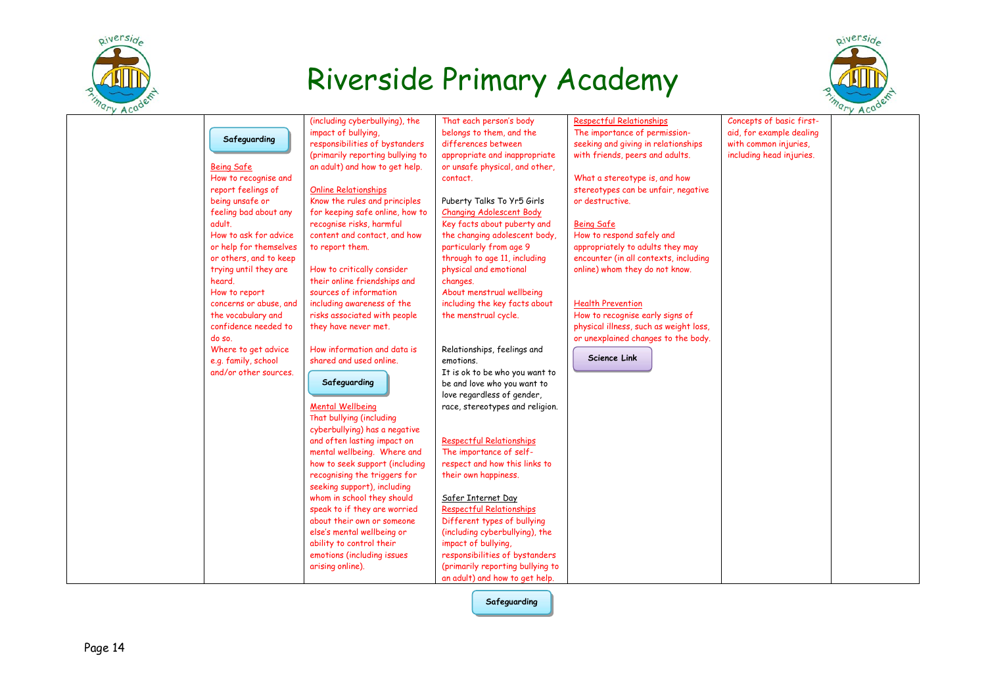



|                        | (including cyberbullying), the   | That each person's body          | <b>Respectful Relationships</b>        | Concepts of basic first- |  |
|------------------------|----------------------------------|----------------------------------|----------------------------------------|--------------------------|--|
|                        | impact of bullying,              | belongs to them, and the         | The importance of permission-          | aid, for example dealing |  |
| Safeguarding           | responsibilities of bystanders   | differences between              | seeking and giving in relationships    | with common injuries,    |  |
|                        | (primarily reporting bullying to | appropriate and inappropriate    | with friends, peers and adults.        | including head injuries. |  |
| <b>Being Safe</b>      | an adult) and how to get help.   | or unsafe physical, and other,   |                                        |                          |  |
| How to recognise and   |                                  | contact.                         | What a stereotype is, and how          |                          |  |
| report feelings of     | <b>Online Relationships</b>      |                                  | stereotypes can be unfair, negative    |                          |  |
| being unsafe or        | Know the rules and principles    | Puberty Talks To Yr5 Girls       | or destructive.                        |                          |  |
| feeling bad about any  | for keeping safe online, how to  | <b>Changing Adolescent Body</b>  |                                        |                          |  |
| adult.                 | recognise risks, harmful         | Key facts about puberty and      | <b>Being Safe</b>                      |                          |  |
| How to ask for advice  | content and contact, and how     | the changing adolescent body,    | How to respond safely and              |                          |  |
| or help for themselves | to report them.                  | particularly from age 9          | appropriately to adults they may       |                          |  |
| or others, and to keep |                                  | through to age 11, including     | encounter (in all contexts, including  |                          |  |
| trying until they are  | How to critically consider       | physical and emotional           | online) whom they do not know.         |                          |  |
| heard.                 | their online friendships and     | changes.                         |                                        |                          |  |
| How to report          | sources of information           | About menstrual wellbeing        |                                        |                          |  |
| concerns or abuse, and | including awareness of the       | including the key facts about    | <b>Health Prevention</b>               |                          |  |
| the vocabulary and     | risks associated with people     | the menstrual cycle.             | How to recognise early signs of        |                          |  |
| confidence needed to   | they have never met.             |                                  | physical illness, such as weight loss, |                          |  |
| do so.                 |                                  |                                  | or unexplained changes to the body.    |                          |  |
| Where to get advice    | How information and data is      | Relationships, feelings and      |                                        |                          |  |
| e.g. family, school    | shared and used online.          | emotions.                        | <b>Science Link</b>                    |                          |  |
| and/or other sources.  |                                  | It is ok to be who you want to   |                                        |                          |  |
|                        | Safeguarding                     | be and love who you want to      |                                        |                          |  |
|                        |                                  | love regardless of gender,       |                                        |                          |  |
|                        | <b>Mental Wellbeing</b>          | race, stereotypes and religion.  |                                        |                          |  |
|                        | That bullying (including         |                                  |                                        |                          |  |
|                        | cyberbullying) has a negative    |                                  |                                        |                          |  |
|                        | and often lasting impact on      | <b>Respectful Relationships</b>  |                                        |                          |  |
|                        | mental wellbeing. Where and      | The importance of self-          |                                        |                          |  |
|                        | how to seek support (including   | respect and how this links to    |                                        |                          |  |
|                        | recognising the triggers for     | their own happiness.             |                                        |                          |  |
|                        | seeking support), including      |                                  |                                        |                          |  |
|                        | whom in school they should       | Safer Internet Day               |                                        |                          |  |
|                        | speak to if they are worried     | <b>Respectful Relationships</b>  |                                        |                          |  |
|                        | about their own or someone       | Different types of bullying      |                                        |                          |  |
|                        | else's mental wellbeing or       | (including cyberbullying), the   |                                        |                          |  |
|                        | ability to control their         | impact of bullying,              |                                        |                          |  |
|                        | emotions (including issues       | responsibilities of bystanders   |                                        |                          |  |
|                        | arising online).                 | (primarily reporting bullying to |                                        |                          |  |
|                        |                                  | an adult) and how to get help.   |                                        |                          |  |

Safeguarding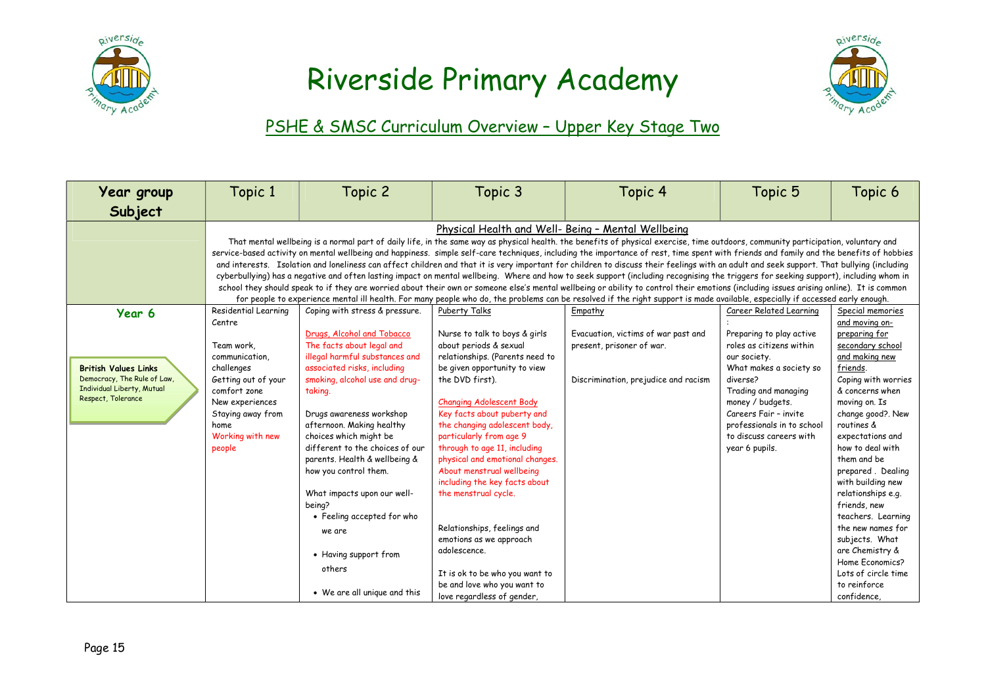



### PSHE & SMSC Curriculum Overview - Upper Key Stage Two

| Year group                                              | Topic 1                                                                                                                                                                            | Topic 2                                                                                                                                                                                 | Topic 3                                                         | Topic 4                                                                                                                                                                                                                                                                                                                                                                          | Topic 5                    | Topic 6                              |  |  |
|---------------------------------------------------------|------------------------------------------------------------------------------------------------------------------------------------------------------------------------------------|-----------------------------------------------------------------------------------------------------------------------------------------------------------------------------------------|-----------------------------------------------------------------|----------------------------------------------------------------------------------------------------------------------------------------------------------------------------------------------------------------------------------------------------------------------------------------------------------------------------------------------------------------------------------|----------------------------|--------------------------------------|--|--|
| Subject                                                 |                                                                                                                                                                                    |                                                                                                                                                                                         |                                                                 |                                                                                                                                                                                                                                                                                                                                                                                  |                            |                                      |  |  |
|                                                         | Physical Health and Well- Being - Mental Wellbeing                                                                                                                                 |                                                                                                                                                                                         |                                                                 |                                                                                                                                                                                                                                                                                                                                                                                  |                            |                                      |  |  |
|                                                         | That mental wellbeing is a normal part of daily life, in the same way as physical health. the benefits of physical exercise, time outdoors, community participation, voluntary and |                                                                                                                                                                                         |                                                                 |                                                                                                                                                                                                                                                                                                                                                                                  |                            |                                      |  |  |
|                                                         |                                                                                                                                                                                    | service-based activity on mental wellbeing and happiness. simple self-care techniques, including the importance of rest, time spent with friends and family and the benefits of hobbies |                                                                 |                                                                                                                                                                                                                                                                                                                                                                                  |                            |                                      |  |  |
|                                                         |                                                                                                                                                                                    |                                                                                                                                                                                         |                                                                 | and interests. Isolation and loneliness can affect children and that it is very important for children to discuss their feelings with an adult and seek support. That bullying (including                                                                                                                                                                                        |                            |                                      |  |  |
|                                                         |                                                                                                                                                                                    |                                                                                                                                                                                         |                                                                 | cyberbullying) has a negative and often lasting impact on mental wellbeing. Where and how to seek support (including recognising the triggers for seeking support), including whom in<br>school they should speak to if they are worried about their own or someone else's mental wellbeing or ability to control their emotions (including issues arising online). It is common |                            |                                      |  |  |
|                                                         |                                                                                                                                                                                    |                                                                                                                                                                                         |                                                                 | for people to experience mental ill health. For many people who do, the problems can be resolved if the right support is made available, especially if accessed early enough.                                                                                                                                                                                                    |                            |                                      |  |  |
| Year 6                                                  | Residential Learning                                                                                                                                                               | Coping with stress & pressure.                                                                                                                                                          | Puberty Talks                                                   | Empathy                                                                                                                                                                                                                                                                                                                                                                          | Career Related Learning    | Special memories                     |  |  |
|                                                         | Centre                                                                                                                                                                             |                                                                                                                                                                                         |                                                                 |                                                                                                                                                                                                                                                                                                                                                                                  |                            | and moving on-                       |  |  |
|                                                         |                                                                                                                                                                                    | Drugs, Alcohol and Tobacco                                                                                                                                                              | Nurse to talk to boys & girls                                   | Evacuation, victims of war past and                                                                                                                                                                                                                                                                                                                                              | Preparing to play active   | preparing for                        |  |  |
|                                                         | Team work.                                                                                                                                                                         | The facts about legal and                                                                                                                                                               | about periods & sexual                                          | present, prisoner of war.                                                                                                                                                                                                                                                                                                                                                        | roles as citizens within   | secondary school                     |  |  |
|                                                         | communication,                                                                                                                                                                     | illegal harmful substances and                                                                                                                                                          | relationships. (Parents need to                                 |                                                                                                                                                                                                                                                                                                                                                                                  | our society.               | and making new                       |  |  |
| <b>British Values Links</b>                             | challenges                                                                                                                                                                         | associated risks, including                                                                                                                                                             | be given opportunity to view                                    |                                                                                                                                                                                                                                                                                                                                                                                  | What makes a society so    | friends.                             |  |  |
| Democracy, The Rule of Law,                             | Getting out of your                                                                                                                                                                | smoking, alcohol use and drug-                                                                                                                                                          | the DVD first).                                                 | Discrimination, prejudice and racism                                                                                                                                                                                                                                                                                                                                             | diverse?                   | Coping with worries                  |  |  |
| <b>Individual Liberty, Mutual</b><br>Respect, Tolerance | comfort zone                                                                                                                                                                       | taking.                                                                                                                                                                                 |                                                                 |                                                                                                                                                                                                                                                                                                                                                                                  | Trading and managing       | & concerns when                      |  |  |
|                                                         | New experiences                                                                                                                                                                    |                                                                                                                                                                                         | <b>Changing Adolescent Body</b>                                 |                                                                                                                                                                                                                                                                                                                                                                                  | money / budgets.           | moving on. Is                        |  |  |
|                                                         | Staying away from                                                                                                                                                                  | Drugs awareness workshop                                                                                                                                                                | Key facts about puberty and                                     |                                                                                                                                                                                                                                                                                                                                                                                  | Careers Fair - invite      | change good?. New                    |  |  |
|                                                         | home                                                                                                                                                                               | afternoon. Making healthy                                                                                                                                                               | the changing adolescent body,                                   |                                                                                                                                                                                                                                                                                                                                                                                  | professionals in to school | routines &                           |  |  |
|                                                         | Working with new                                                                                                                                                                   | choices which might be                                                                                                                                                                  | particularly from age 9                                         |                                                                                                                                                                                                                                                                                                                                                                                  | to discuss careers with    | expectations and<br>how to deal with |  |  |
|                                                         | people                                                                                                                                                                             | different to the choices of our<br>parents. Health & wellbeing &                                                                                                                        | through to age 11, including<br>physical and emotional changes. |                                                                                                                                                                                                                                                                                                                                                                                  | year 6 pupils.             | them and be                          |  |  |
|                                                         |                                                                                                                                                                                    | how you control them.                                                                                                                                                                   | About menstrual wellbeing                                       |                                                                                                                                                                                                                                                                                                                                                                                  |                            | prepared. Dealing                    |  |  |
|                                                         |                                                                                                                                                                                    |                                                                                                                                                                                         | including the key facts about                                   |                                                                                                                                                                                                                                                                                                                                                                                  |                            | with building new                    |  |  |
|                                                         |                                                                                                                                                                                    | What impacts upon our well-                                                                                                                                                             | the menstrual cycle.                                            |                                                                                                                                                                                                                                                                                                                                                                                  |                            | relationships e.g.                   |  |  |
|                                                         |                                                                                                                                                                                    | being?                                                                                                                                                                                  |                                                                 |                                                                                                                                                                                                                                                                                                                                                                                  |                            | friends, new                         |  |  |
|                                                         |                                                                                                                                                                                    | • Feeling accepted for who                                                                                                                                                              |                                                                 |                                                                                                                                                                                                                                                                                                                                                                                  |                            | teachers. Learning                   |  |  |
|                                                         |                                                                                                                                                                                    | we are                                                                                                                                                                                  | Relationships, feelings and                                     |                                                                                                                                                                                                                                                                                                                                                                                  |                            | the new names for                    |  |  |
|                                                         |                                                                                                                                                                                    |                                                                                                                                                                                         | emotions as we approach                                         |                                                                                                                                                                                                                                                                                                                                                                                  |                            | subjects. What                       |  |  |
|                                                         |                                                                                                                                                                                    | • Having support from                                                                                                                                                                   | adolescence.                                                    |                                                                                                                                                                                                                                                                                                                                                                                  |                            | are Chemistry &                      |  |  |
|                                                         |                                                                                                                                                                                    |                                                                                                                                                                                         |                                                                 |                                                                                                                                                                                                                                                                                                                                                                                  |                            | Home Economics?                      |  |  |
|                                                         |                                                                                                                                                                                    | others                                                                                                                                                                                  | It is ok to be who you want to                                  |                                                                                                                                                                                                                                                                                                                                                                                  |                            | Lots of circle time                  |  |  |
|                                                         |                                                                                                                                                                                    |                                                                                                                                                                                         | be and love who you want to                                     |                                                                                                                                                                                                                                                                                                                                                                                  |                            | to reinforce                         |  |  |
|                                                         |                                                                                                                                                                                    | • We are all unique and this                                                                                                                                                            | love regardless of gender,                                      |                                                                                                                                                                                                                                                                                                                                                                                  |                            | confidence                           |  |  |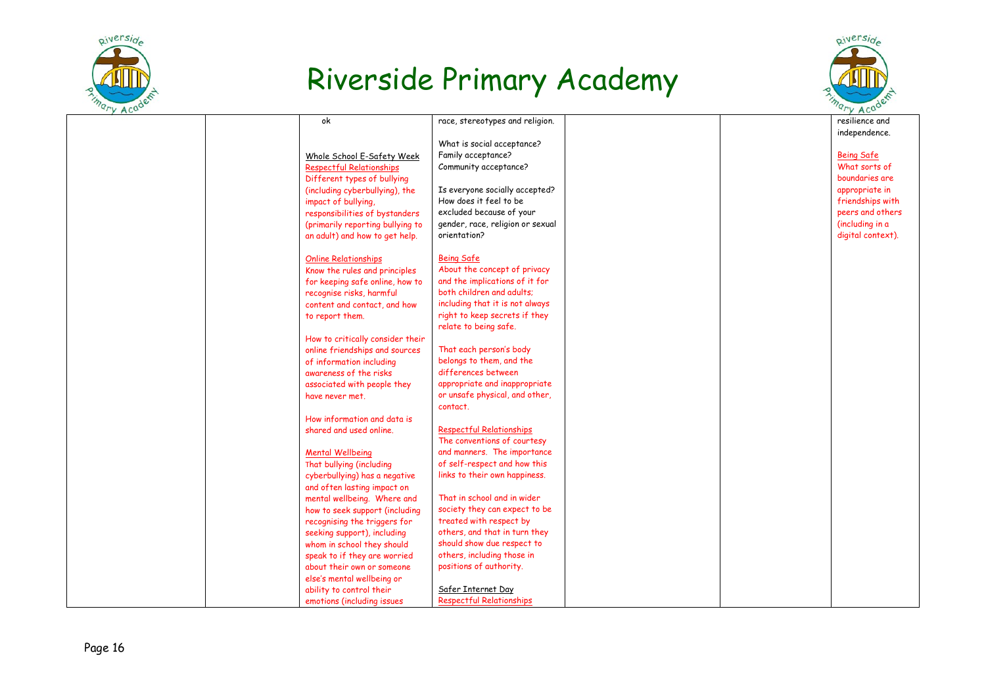



| $\cdots$ |                                  |                                  |  | $\sqrt{10}$       |
|----------|----------------------------------|----------------------------------|--|-------------------|
|          | ok                               | race, stereotypes and religion.  |  | resilience and    |
|          |                                  |                                  |  | independence.     |
|          |                                  | What is social acceptance?       |  |                   |
|          | Whole School E-Safety Week       | Family acceptance?               |  | <b>Being Safe</b> |
|          | <b>Respectful Relationships</b>  | Community acceptance?            |  | What sorts of     |
|          | Different types of bullying      |                                  |  | boundaries are    |
|          | (including cyberbullying), the   | Is everyone socially accepted?   |  | appropriate in    |
|          | impact of bullying,              | How does it feel to be           |  | friendships with  |
|          | responsibilities of bystanders   | excluded because of your         |  | peers and others  |
|          | (primarily reporting bullying to | gender, race, religion or sexual |  | (including in a   |
|          | an adult) and how to get help.   | orientation?                     |  | digital context). |
|          |                                  |                                  |  |                   |
|          | <b>Online Relationships</b>      | <b>Being Safe</b>                |  |                   |
|          | Know the rules and principles    | About the concept of privacy     |  |                   |
|          | for keeping safe online, how to  | and the implications of it for   |  |                   |
|          | recognise risks, harmful         | both children and adults;        |  |                   |
|          | content and contact, and how     | including that it is not always  |  |                   |
|          | to report them.                  | right to keep secrets if they    |  |                   |
|          |                                  | relate to being safe.            |  |                   |
|          | How to critically consider their |                                  |  |                   |
|          | online friendships and sources   | That each person's body          |  |                   |
|          | of information including         | belongs to them, and the         |  |                   |
|          | awareness of the risks           | differences between              |  |                   |
|          | associated with people they      | appropriate and inappropriate    |  |                   |
|          | have never met.                  | or unsafe physical, and other,   |  |                   |
|          |                                  | contact.                         |  |                   |
|          | How information and data is      |                                  |  |                   |
|          | shared and used online.          | <b>Respectful Relationships</b>  |  |                   |
|          |                                  | The conventions of courtesy      |  |                   |
|          | <b>Mental Wellbeing</b>          | and manners. The importance      |  |                   |
|          | That bullying (including         | of self-respect and how this     |  |                   |
|          | cyberbullying) has a negative    | links to their own happiness.    |  |                   |
|          | and often lasting impact on      |                                  |  |                   |
|          | mental wellbeing. Where and      | That in school and in wider      |  |                   |
|          | how to seek support (including   | society they can expect to be    |  |                   |
|          | recognising the triggers for     | treated with respect by          |  |                   |
|          | seeking support), including      | others, and that in turn they    |  |                   |
|          | whom in school they should       | should show due respect to       |  |                   |
|          | speak to if they are worried     | others, including those in       |  |                   |
|          | about their own or someone       | positions of authority.          |  |                   |
|          | else's mental wellbeing or       |                                  |  |                   |
|          | ability to control their         | Safer Internet Day               |  |                   |
|          | emotions (including issues       | <b>Respectful Relationships</b>  |  |                   |
|          |                                  |                                  |  |                   |